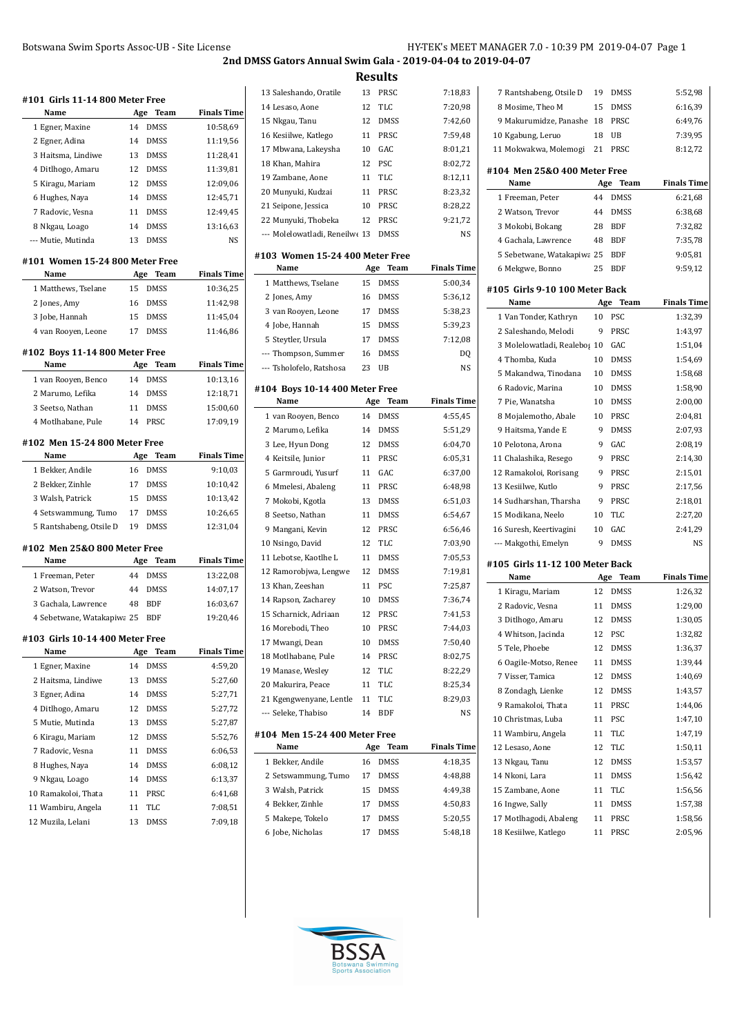| #101 Girls 11-14 800 Meter Free         |           |                     |                      |
|-----------------------------------------|-----------|---------------------|----------------------|
| Name                                    | Age       | Team                | <b>Finals Time</b>   |
| 1 Egner, Maxine                         | 14        | <b>DMSS</b>         | 10:58,69             |
| 2 Egner, Adina                          | 14        | <b>DMSS</b>         | 11:19,56             |
| 3 Haitsma, Lindiwe                      | 13        | <b>DMSS</b>         | 11:28,41             |
| 4 Ditlhogo, Amaru                       | 12        | <b>DMSS</b>         | 11:39,81             |
| 5 Kiragu, Mariam                        | 12        | <b>DMSS</b>         | 12:09.06             |
| 6 Hughes, Naya                          | 14        | <b>DMSS</b>         | 12:45,71             |
| 7 Radovic, Vesna                        | 11        | <b>DMSS</b>         | 12:49,45             |
| 8 Nkgau, Loago                          | 14        | <b>DMSS</b>         | 13:16,63             |
| --- Mutie, Mutinda                      | 13        | <b>DMSS</b>         | NS                   |
| #101 Women 15-24 800 Meter Free<br>Name | Age       | Team                | <b>Finals Time</b>   |
| 1 Matthews, Tselane                     | 15        | <b>DMSS</b>         | 10:36,25             |
| 2 Jones, Amy                            | 16        | <b>DMSS</b>         | 11:42,98             |
| 3 Jobe, Hannah                          | 15        | <b>DMSS</b>         | 11:45,04             |
| 4 van Rooyen, Leone                     | 17        | <b>DMSS</b>         | 11:46,86             |
|                                         |           |                     |                      |
| #102 Boys 11-14 800 Meter Free<br>Name  |           | Team                | <b>Finals Time</b>   |
|                                         | Age<br>14 |                     |                      |
| 1 van Rooyen, Benco<br>2 Marumo, Lefika | 14        | DMSS<br><b>DMSS</b> | 10:13,16<br>12:18,71 |
|                                         |           | <b>DMSS</b>         |                      |
| 3 Seetso, Nathan<br>4 Motlhabane, Pule  | 11        | PRSC                | 15:00,60             |
|                                         | 14        |                     | 17:09,19             |
| #102 Men 15-24 800 Meter Free           |           |                     |                      |
| Name                                    |           | Age Team            | <b>Finals Time</b>   |
| 1 Bekker, Andile                        | 16        | <b>DMSS</b>         | 9:10,03              |
| 2 Bekker, Zinhle                        | 17        | DMSS                | 10:10,42             |
| 3 Walsh, Patrick                        | 15        | <b>DMSS</b>         | 10:13,42             |
| 4 Setswammung, Tumo                     | 17        | <b>DMSS</b>         | 10:26,65             |
| 5 Rantshabeng, Otsile D                 | 19        | <b>DMSS</b>         | 12:31,04             |
| #102 Men 25&0 800 Meter Free            |           |                     |                      |
| Name                                    | Age       | Team                | Finals Time          |
| 1 Freeman, Peter                        | 44        | <b>DMSS</b>         | 13:22,08             |
| 2 Watson, Trevor                        | 44        | <b>DMSS</b>         | 14:07,17             |
| 3 Gachala, Lawrence                     | 48        | <b>BDF</b>          | 16:03,67             |
| 4 Sebetwane, Watakapiwa 25              |           | <b>BDF</b>          | 19:20,46             |
| #103 Girls 10-14 400 Meter Free         |           |                     |                      |
| Name                                    | Age       | Team                | Finals Time          |
| 1 Egner, Maxine                         | 14        | DMSS                | 4:59,20              |
| 2 Haitsma, Lindiwe                      | 13        | <b>DMSS</b>         | 5:27,60              |
| 3 Egner, Adina                          | 14        | DMSS                | 5:27,71              |
| 4 Ditlhogo, Amaru                       | 12        | DMSS                | 5:27,72              |
| 5 Mutie, Mutinda                        | 13        | DMSS                | 5:27,87              |
| 6 Kiragu, Mariam                        | 12        | DMSS                | 5:52,76              |
| 7 Radovic, Vesna                        | 11        | DMSS                | 6:06,53              |
| 8 Hughes, Naya                          | 14        | DMSS                | 6:08,12              |
| 9 Nkgau, Loago                          | 14        | DMSS                | 6:13,37              |
| 10 Ramakoloi, Thata                     | 11        | PRSC                | 6:41,68              |
| 11 Wambiru, Angela                      | 11        | TLC                 | 7:08,51              |
| 12 Muzila, Lelani                       | 13        | DMSS                | 7:09,18              |
|                                         |           |                     |                      |
|                                         |           |                     |                      |

| 13 Saleshando, Oratile                | 13  | PRSC        | 7:18,83            |
|---------------------------------------|-----|-------------|--------------------|
| 14 Lesaso, Aone                       | 12  | TLC         | 7:20,98            |
| 15 Nkgau, Tanu                        | 12  | <b>DMSS</b> | 7:42,60            |
| 16 Kesiilwe, Katlego                  | 11  | PRSC        | 7:59,48            |
| 17 Mbwana, Lakeysha                   | 10  | GAC         | 8:01,21            |
| 18 Khan, Mahira                       | 12  | PSC         | 8:02,72            |
| 19 Zambane, Aone                      | 11  | TLC         | 8:12,11            |
| 20 Munyuki, Kudzai                    | 11  | PRSC        | 8:23,32            |
| 21 Seipone, Jessica                   | 10  | PRSC        | 8:28,22            |
| 22 Munyuki, Thobeka                   | 12  | PRSC        | 9:21,72            |
| --- Molelowatladi, Reneilwe 13        |     | DMSS        | NS                 |
|                                       |     |             |                    |
| #103 Women 15-24 400 Meter Free       |     |             |                    |
| Name                                  | Age | Team        | <b>Finals Time</b> |
| 1 Matthews, Tselane                   | 15  | DMSS        | 5:00,34            |
| 2 Jones, Amy                          | 16  | <b>DMSS</b> | 5:36,12            |
| 3 van Rooyen, Leone                   | 17  | <b>DMSS</b> | 5:38,23            |
| 4 Jobe, Hannah                        | 15  | <b>DMSS</b> | 5:39,23            |
| 5 Steytler, Ursula                    | 17  | <b>DMSS</b> | 7:12,08            |
| --- Thompson, Summer                  | 16  | <b>DMSS</b> | DQ                 |
| --- Tsholofelo, Ratshosa              | 23  | UB          | NS                 |
| #104 Boys 10-14 400 Meter Free        |     |             |                    |
| Name                                  | Age | Team        | <b>Finals Time</b> |
| 1 van Rooyen, Benco                   | 14  | DMSS        | 4:55,45            |
| 2 Marumo, Lefika                      | 14  | <b>DMSS</b> | 5:51,29            |
| 3 Lee, Hyun Dong                      | 12  | <b>DMSS</b> | 6:04,70            |
| 4 Keitsile, Junior                    | 11  | PRSC        | 6:05,31            |
| 5 Garmroudi, Yusurf                   | 11  | GAC         | 6:37,00            |
| 6 Mmelesi, Abaleng                    | 11  | PRSC        | 6:48,98            |
| 7 Mokobi, Kgotla                      | 13  | <b>DMSS</b> | 6:51,03            |
| 8 Seetso, Nathan                      | 11  | <b>DMSS</b> | 6:54,67            |
| 9 Mangani, Kevin                      | 12  | PRSC        | 6:56,46            |
| 10 Nsingo, David                      | 12  | TLC         | 7:03,90            |
| 11 Lebotse, Kaotlhe L                 | 11  | <b>DMSS</b> | 7:05,53            |
| 12 Ramorobjwa, Lengwe                 | 12  | <b>DMSS</b> | 7:19,81            |
| 13 Khan, Zeeshan                      | 11  | <b>PSC</b>  | 7:25,87            |
| 14 Rapson, Zacharey                   | 10  | <b>DMSS</b> | 7:36,74            |
| 15 Scharnick, Adriaan                 | 12  | PRSC        | 7:41,53            |
| 16 Morebodi, Theo                     | 10  | PRSC        | 7:44,03            |
| 17 Mwangi, Dean                       | 10  | DMSS        | 7:50,40            |
| 18 Motlhabane, Pule                   | 14  | PRSC        | 8:02,75            |
| 19 Manase, Wesley                     | 12  | TLC         | 8:22,29            |
| 20 Makurira, Peace                    | 11  | TLC         | 8:25,34            |
| 21 Kgengwenyane, Lentle               | 11  | TLC         | 8:29,03            |
| --- Seleke, Thabiso                   | 14  | <b>BDF</b>  | NS                 |
|                                       |     |             |                    |
| #104 Men 15-24 400 Meter Free<br>Name | Age | <b>Team</b> | <b>Finals Time</b> |
| 1 Bekker, Andile                      | 16  | DMSS        | 4:18,35            |
| 2 Setswammung, Tumo                   | 17  | DMSS        | 4:48,88            |
| 3 Walsh, Patrick                      | 15  | DMSS        | 4:49,38            |
| 4 Bekker, Zinhle                      | 17  | DMSS        | 4:50,83            |
| 5 Makepe, Tokelo                      | 17  | DMSS        | 5:20,55            |
| 6 Jobe, Nicholas                      | 17  | DMSS        | 5:48,18            |
|                                       |     |             |                    |

| 7 Rantshabeng, Otsile D         | 19  | DMSS         | 5:52,98            |
|---------------------------------|-----|--------------|--------------------|
| 8 Mosime, Theo M                | 15  | DMSS         | 6:16,39            |
| 9 Makurumidze, Panashe          | 18  | PRSC         | 6:49,76            |
| 10 Kgabung, Leruo               | 18  | UB           | 7:39,95            |
| 11 Mokwakwa, Molemogi           | 21  | PRSC         | 8:12,72            |
| #104 Men 25&0 400 Meter Free    |     |              |                    |
| Name                            | Age | Team         | <b>Finals Time</b> |
| 1 Freeman, Peter                | 44  | DMSS         | 6:21,68            |
| 2 Watson, Trevor                | 44  | <b>DMSS</b>  | 6:38,68            |
| 3 Mokobi, Bokang                | 28  | <b>BDF</b>   | 7:32,82            |
| 4 Gachala, Lawrence             | 48  | BDF          | 7:35,78            |
| 5 Sebetwane, Watakapiwa 25      |     | <b>BDF</b>   | 9:05,81            |
| 6 Mekgwe, Bonno                 | 25  | BDF          | 9:59,12            |
|                                 |     |              |                    |
| #105  Girls 9-10 100 Meter Back |     |              |                    |
| Name                            | Age | Team         | <b>Finals Time</b> |
| 1 Van Tonder, Kathryn           | 10  | PSC          | 1:32,39            |
| 2 Saleshando, Melodi            | 9   | PRSC         | 1:43,97            |
| 3 Molelowatladi, Realebos 10    |     | GAC          | 1:51,04            |
| 4 Thomba, Kuda                  | 10  | DMSS         | 1:54,69            |
| 5 Makandwa, Tinodana            | 10  | DMSS         | 1:58,68            |
| 6 Radovic, Marina               | 10  | DMSS         | 1:58,90            |
| 7 Pie, Wanatsha                 | 10  | DMSS         | 2:00,00            |
| 8 Mojalemotho, Abale            | 10  | PRSC         | 2:04,81            |
| 9 Haitsma, Yande E              | 9   | <b>DMSS</b>  | 2:07,93            |
| 10 Pelotona, Arona              | 9   | GAC          | 2:08,19            |
| 11 Chalashika, Resego           | 9   | PRSC         | 2:14,30            |
| 12 Ramakoloi, Rorisang          | 9   | PRSC         | 2:15,01            |
| 13 Kesiilwe, Kutlo              | 9   | PRSC         | 2:17,56            |
| 14 Sudharshan, Tharsha          | 9   | PRSC         | 2:18,01            |
| 15 Modikana, Neelo              | 10  | TLC          | 2:27,20            |
| 16 Suresh, Keertivagini         | 10  | GAC          | 2:41,29            |
| --- Makgothi, Emelyn            | 9   | DMSS         | NS                 |
| #105 Girls 11-12 100 Meter Back |     |              |                    |
| Name                            | Age | Team         | <b>Finals Time</b> |
| 1 Kiragu, Mariam                | 12  | <b>DMSS</b>  | 1:26,32            |
| 2 Radovic, Vesna                | 11  | <b>DMSS</b>  | 1:29,00            |
| 3 Ditlhogo, Amaru               | 12  | <b>DMSS</b>  | 1:30,05            |
| 4 Whitson, Jacinda              | 12  | PSC          | 1:32,82            |
| 5 Tele, Phoebe                  | 12  | DMSS         | 1:36,37            |
| 6 Oagile-Motso, Renee           | 11  | DMSS         | 1:39,44            |
| 7 Visser, Tamica                | 12  | DMSS         | 1:40,69            |
| 8 Zondagh, Lienke               | 12  | <b>DMSS</b>  | 1:43,57            |
| 9 Ramakoloi, Thata              | 11  | PRSC         | 1:44,06            |
| 10 Christmas, Luba              | 11  | PSC          | 1:47,10            |
| 11 Wambiru, Angela              | 11  | TLC          | 1:47,19            |
| 12 Lesaso, Aone                 | 12  | TLC          | 1:50,11            |
| 13 Nkgau, Tanu                  | 12  | DMSS         | 1:53,57            |
| 14 Nkoni, Lara                  | 11  | DMSS         | 1:56,42            |
| 15 Zambane, Aone                | 11  | TLC          | 1:56,56            |
| 16 Ingwe, Sally                 |     |              |                    |
|                                 | 11  |              |                    |
| 17 Motlhagodi, Abaleng          | 11  | DMSS<br>PRSC | 1:57,38<br>1:58,56 |

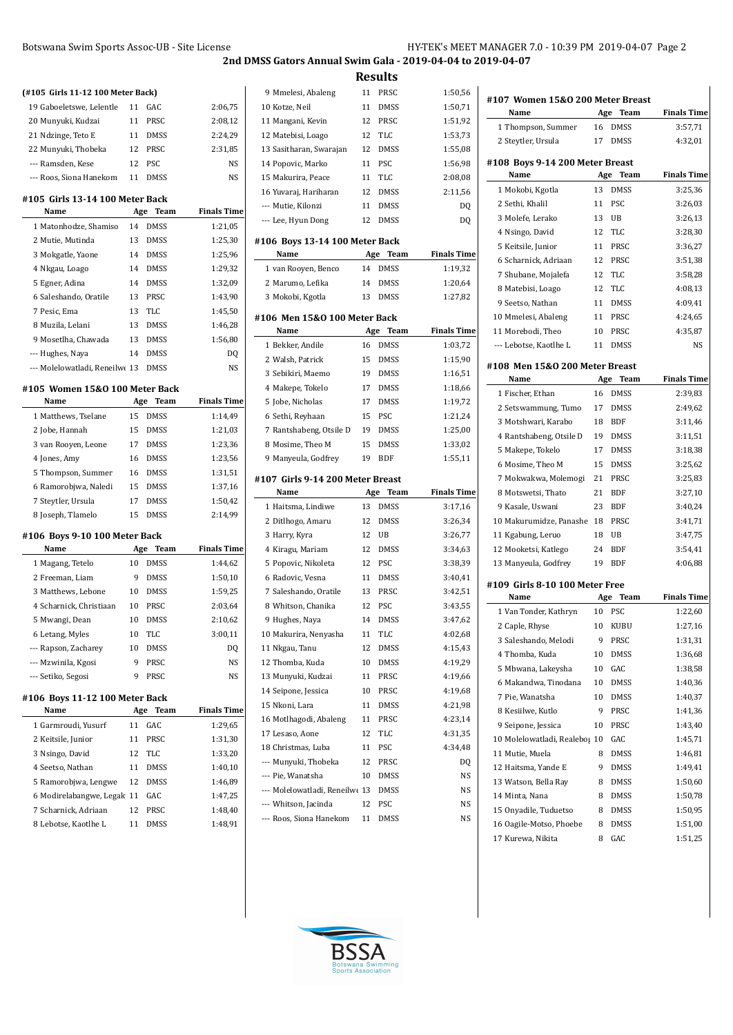**#107 Women 15&O 200 Meter Breast**

**2nd DMSS Gators Annual Swim Gala - 2019-04-04 to 2019-04-07 Results**

## **(#105 Girls 11-12 100 Meter Back)** Gaboeletswe, Lelentle 11 GAC 2:06,75 Munyuki, Kudzai 11 PRSC 2:08,12 Ndzinge, Teto E 11 DMSS 2:24,29 Munyuki, Thobeka 12 PRSC 2:31,85 --- Ramsden, Kese 12 PSC NS --- Roos, Siona Hanekom 11 DMSS NS

#### **#105 Girls 13-14 100 Meter Back**

| Name                           | Age | Team        | <b>Finals Time</b> |
|--------------------------------|-----|-------------|--------------------|
| 1 Matonhodze, Shamiso          | 14  | <b>DMSS</b> | 1:21,05            |
| 2 Mutie, Mutinda               | 13  | <b>DMSS</b> | 1:25,30            |
| 3 Mokgatle, Yaone              | 14  | <b>DMSS</b> | 1:25,96            |
| 4 Nkgau, Loago                 | 14  | <b>DMSS</b> | 1:29,32            |
| 5 Egner, Adina                 | 14  | <b>DMSS</b> | 1:32,09            |
| 6 Saleshando, Oratile          | 13  | <b>PRSC</b> | 1:43,90            |
| 7 Pesic. Ema                   | 13  | <b>TLC</b>  | 1:45,50            |
| 8 Muzila, Lelani               | 13  | <b>DMSS</b> | 1:46,28            |
| 9 Mosetlha, Chawada            | 13  | <b>DMSS</b> | 1:56,80            |
| --- Hughes, Naya               | 14  | <b>DMSS</b> | D <sub>0</sub>     |
| --- Molelowatladi, Reneilwe 13 |     | DMSS        | NS                 |

#### **#105 Women 15&O 100 Meter Back**

| Name                 | Team<br>Age       | <b>Finals Time</b> |
|----------------------|-------------------|--------------------|
| 1 Matthews, Tselane  | <b>DMSS</b><br>15 | 1:14,49            |
| 2 Jobe, Hannah       | <b>DMSS</b><br>15 | 1:21,03            |
| 3 van Rooyen, Leone  | <b>DMSS</b><br>17 | 1:23.36            |
| 4 Jones, Amy         | <b>DMSS</b><br>16 | 1:23.56            |
| 5 Thompson, Summer   | <b>DMSS</b><br>16 | 1:31,51            |
| 6 Ramorobiwa, Naledi | <b>DMSS</b><br>15 | 1:37,16            |
| 7 Steytler, Ursula   | <b>DMSS</b><br>17 | 1:50,42            |
| 8 Joseph, Tlamelo    | <b>DMSS</b><br>15 | 2:14.99            |

#### **#106 Boys 9-10 100 Meter Back**

| Name                    | Age | Team        | <b>Finals Time</b> |
|-------------------------|-----|-------------|--------------------|
| 1 Magang, Tetelo        | 10  | <b>DMSS</b> | 1:44.62            |
| 2 Freeman, Liam         | 9   | <b>DMSS</b> | 1:50,10            |
| 3 Matthews, Lebone      | 10  | <b>DMSS</b> | 1:59,25            |
| 4 Scharnick, Christiaan | 10  | <b>PRSC</b> | 2:03.64            |
| 5 Mwangi, Dean          | 10  | <b>DMSS</b> | 2:10,62            |
| 6 Letang, Myles         | 10  | <b>TLC</b>  | 3:00,11            |
| --- Rapson, Zacharey    | 10  | <b>DMSS</b> | DQ                 |
| --- Mzwinila, Kgosi     | 9   | <b>PRSC</b> | N <sub>S</sub>     |
| --- Setiko, Segosi      | 9   | <b>PRSC</b> | N <sub>S</sub>     |

### **#106 Boys 11-12 100 Meter Back**

| Name                       | Age | Team        | <b>Finals Time</b> |
|----------------------------|-----|-------------|--------------------|
| 1 Garmroudi, Yusurf        | 11  | GAC.        | 1:29,65            |
| 2 Keitsile, Junior         | 11  | <b>PRSC</b> | 1:31,30            |
| 3 Nsingo, David            | 12  | TLC         | 1:33,20            |
| 4 Seetso, Nathan           | 11  | <b>DMSS</b> | 1:40,10            |
| 5 Ramorobjwa, Lengwe       | 12  | <b>DMSS</b> | 1:46,89            |
| 6 Modirelabangwe, Legak 11 |     | GAC         | 1:47,25            |
| 7 Scharnick, Adriaan       | 12  | <b>PRSC</b> | 1:48.40            |
| 8 Lebotse, Kaotlhe L       | 11  | <b>DMSS</b> | 1:48.91            |

| 9 Mmelesi, Abaleng                | 11  | PRSC        | 1:50,56            |
|-----------------------------------|-----|-------------|--------------------|
| 10 Kotze, Neil                    | 11  | <b>DMSS</b> | 1:50,71            |
| 11 Mangani, Kevin                 | 12  | PRSC        | 1:51,92            |
| 12 Matebisi, Loago                | 12  | TLC         | 1:53,73            |
| 13 Sasitharan, Swarajan           | 12  | <b>DMSS</b> | 1:55,08            |
| 14 Popovic, Marko                 | 11  | PSC         | 1:56,98            |
| 15 Makurira, Peace                | 11  | TLC         | 2:08,08            |
| 16 Yuvaraj, Hariharan             | 12  | <b>DMSS</b> | 2:11,56            |
| --- Mutie, Kilonzi                | 11  | <b>DMSS</b> | DQ                 |
| --- Lee, Hyun Dong                | 12  | <b>DMSS</b> | DQ                 |
| #106 Boys 13-14 100 Meter Back    |     |             |                    |
| Name                              | Age | Team        | <b>Finals Time</b> |
| 1 van Rooyen, Benco               | 14  | <b>DMSS</b> | 1:19,32            |
| 2 Marumo, Lefika                  | 14  | <b>DMSS</b> | 1:20,64            |
| 3 Mokobi, Kgotla                  | 13  | <b>DMSS</b> | 1:27,82            |
| #106 Men 15&0 100 Meter Back      |     |             |                    |
| Name                              | Age | Team        | <b>Finals Time</b> |
| 1 Bekker, Andile                  | 16  | <b>DMSS</b> | 1:03,72            |
| 2 Walsh, Patrick                  | 15  | DMSS        | 1:15,90            |
| 3 Sebikiri, Maemo                 | 19  | <b>DMSS</b> | 1:16,51            |
| 4 Makepe, Tokelo                  | 17  | <b>DMSS</b> | 1:18,66            |
| 5 Jobe, Nicholas                  | 17  | <b>DMSS</b> | 1:19,72            |
| 6 Sethi, Reyhaan                  | 15  | PSC         | 1:21,24            |
| 7 Rantshabeng, Otsile D           | 19  | <b>DMSS</b> | 1:25,00            |
|                                   |     | <b>DMSS</b> |                    |
| 8 Mosime, Theo M                  | 15  |             | 1:33,02            |
| 9 Manyeula, Godfrey               | 19  | BDF         | 1:55,11            |
| #107  Girls 9-14 200 Meter Breast |     |             |                    |
| Name                              | Age | Team        | <b>Finals Time</b> |
| 1 Haitsma, Lindiwe                | 13  | <b>DMSS</b> | 3:17,16            |
| 2 Ditlhogo, Amaru                 | 12  | <b>DMSS</b> | 3:26,34            |
| 3 Harry, Kyra                     | 12  | UB          | 3:26,77            |
| 4 Kiragu, Mariam                  | 12  | <b>DMSS</b> | 3:34,63            |
| 5 Popovic, Nikoleta               | 12  | PSC         | 3:38,39            |
| 6 Radovic, Vesna                  | 11  | DMSS        | 3:40,41            |
| 7 Saleshando, Oratile             | 13  | PRSC        | 3:42,51            |
| 8 Whitson, Chanika                | 12  | PSC         | 3:43,55            |
| 9 Hughes, Naya                    | 14  | <b>DMSS</b> | 3:47,62            |
| 10 Makurira, Nenyasha             | 11  | TLC         | 4:02,68            |
| 11 Nkgau, Tanu                    | 12  | <b>DMSS</b> | 4:15,43            |
| 12 Thomba, Kuda                   | 10  | <b>DMSS</b> | 4:19,29            |
| 13 Munyuki, Kudzai                | 11  | PRSC        | 4:19,66            |
| 14 Seipone, Jessica               | 10  | PRSC        | 4:19,68            |
| 15 Nkoni, Lara                    | 11  | DMSS        | 4:21,98            |
| 16 Motlhagodi, Abaleng            | 11  | PRSC        | 4:23,14            |
| 17 Lesaso, Aone                   | 12  | TLC         | 4:31,35            |
| 18 Christmas, Luba                | 11  | PSC         | 4:34,48            |
| --- Munyuki, Thobeka              | 12  | PRSC        | DQ                 |
| --- Pie, Wanatsha                 | 10  | DMSS        | NS                 |
| --- Molelowatladi, Reneilwe 13    |     | DMSS        | NS                 |
| --- Whitson, Jacinda              | 12  | PSC         | NS                 |

 $\overline{a}$ 

| Name                                             | Age      | Team         | <b>Finals Time</b> |
|--------------------------------------------------|----------|--------------|--------------------|
| 1 Thompson, Summer                               | 16       | <b>DMSS</b>  | 3:57,71            |
| 2 Steytler, Ursula                               | 17       | DMSS         | 4:32,01            |
|                                                  |          |              |                    |
| #108 Boys 9-14 200 Meter Breast<br>Name          | Age      | Team         | <b>Finals Time</b> |
| 1 Mokobi, Kgotla                                 | 13       | <b>DMSS</b>  | 3:25,36            |
| 2 Sethi, Khalil                                  | 11       | <b>PSC</b>   | 3:26,03            |
| 3 Molefe, Lerako                                 | 13       | UB           | 3:26,13            |
| 4 Nsingo, David                                  | 12       | <b>TLC</b>   | 3:28,30            |
| 5 Keitsile, Junior                               | 11       | PRSC         | 3:36,27            |
| 6 Scharnick, Adriaan                             | 12       | PRSC         | 3:51,38            |
| 7 Shubane, Mojalefa                              | 12       | TLC          | 3:58,28            |
|                                                  | 12       | TLC          | 4:08,13            |
| 8 Matebisi, Loago                                |          | <b>DMSS</b>  |                    |
| 9 Seetso, Nathan                                 | 11<br>11 | PRSC         | 4:09,41<br>4:24,65 |
| 10 Mmelesi, Abaleng                              |          |              |                    |
| 11 Morebodi, Theo                                | 10       | PRSC         | 4:35,87            |
| --- Lebotse, Kaotlhe L                           | 11       | <b>DMSS</b>  | NS                 |
| #108 Men 15&0 200 Meter Breast                   |          |              |                    |
| Name                                             | Age      | <b>Team</b>  | <b>Finals Time</b> |
| 1 Fischer, Ethan                                 | 16       | <b>DMSS</b>  | 2:39,83            |
| 2 Setswammung, Tumo                              | 17       | <b>DMSS</b>  | 2:49,62            |
| 3 Motshwari, Karabo                              | 18       | <b>BDF</b>   | 3:11,46            |
| 4 Rantshabeng, Otsile D                          | 19       | <b>DMSS</b>  | 3:11,51            |
| 5 Makepe, Tokelo                                 | 17       | <b>DMSS</b>  | 3:18,38            |
| 6 Mosime, Theo M                                 | 15       | <b>DMSS</b>  | 3:25,62            |
| 7 Mokwakwa, Molemogi                             | 21       | PRSC         | 3:25,83            |
| 8 Motswetsi, Thato                               | 21       | <b>BDF</b>   | 3:27,10            |
| 9 Kasale, Uswani                                 | 23       | <b>BDF</b>   | 3:40,24            |
| 10 Makurumidze, Panashe                          | 18       | PRSC         | 3:41,71            |
| 11 Kgabung, Leruo                                | 18       | UB           | 3:47,75            |
| 12 Mooketsi, Katlego                             | 24       | BDF          | 3:54,41            |
| 13 Manyeula, Godfrey                             | 19       | BDF          | 4:06,88            |
|                                                  |          |              |                    |
| #109 Girls 8-10 100 Meter Free<br>Name           | Age      | Team         | <b>Finals Time</b> |
| 1 Van Tonder, Kathryn                            | 10       | <b>PSC</b>   | 1:22,60            |
| 2 Caple, Rhyse                                   | 10       | KUBU         | 1:27,16            |
| 3 Saleshando, Melodi                             | 9        | PRSC         | 1:31,31            |
| 4 Thomba, Kuda                                   | 10       | DMSS         | 1:36,68            |
| 5 Mbwana, Lakeysha                               | 10       | GAC          | 1:38,58            |
| 6 Makandwa, Tinodana                             | 10       | DMSS         | 1:40,36            |
| 7 Pie, Wanatsha                                  | 10       | DMSS         | 1:40,37            |
| 8 Kesiilwe, Kutlo                                | 9        | PRSC         | 1:41,36            |
|                                                  |          |              |                    |
| 9 Seipone, Jessica                               | 10       | PRSC<br>GAC  | 1:43,40            |
| 10 Molelowatladi, Realebos 10                    |          |              | 1:45,71            |
| 11 Mutie, Muela                                  | 8        | DMSS         | 1:46,81            |
| 12 Haitsma, Yande E                              | 9        | DMSS         | 1:49,41            |
| 13 Watson, Bella Ray                             | 8        | DMSS         | 1:50,60            |
| 14 Minta, Nana                                   | 8        | DMSS         | 1:50,78            |
| 15 Onyadile, Tuduetso<br>16 Oagile-Motso, Phoebe | 8<br>8   | DMSS<br>DMSS | 1:50,95            |
| 17 Kurewa, Nikita                                | 8        | GAC          | 1:51,00<br>1:51,25 |
|                                                  |          |              |                    |

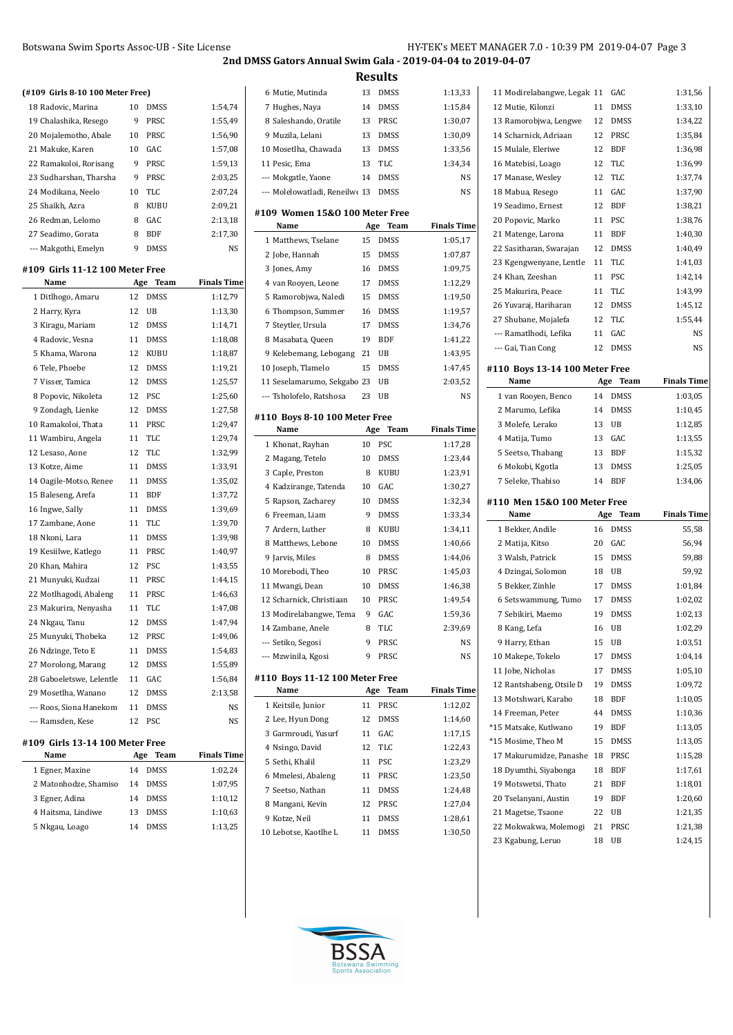**Results**

Mutie, Mutinda 13 DMSS 1:13,33

| (#109 Girls 8-10 100 Meter Free)          |     |                     |                    |
|-------------------------------------------|-----|---------------------|--------------------|
| 18 Radovic, Marina                        | 10  | <b>DMSS</b>         | 1:54,74            |
| 19 Chalashika, Resego                     | 9   | <b>PRSC</b>         | 1:55,49            |
| 20 Mojalemotho, Abale                     | 10  | PRSC                | 1:56,90            |
| 21 Makuke, Karen                          | 10  | GAC                 | 1:57,08            |
| 22 Ramakoloi, Rorisang                    | 9   | PRSC                | 1:59,13            |
| 23 Sudharshan, Tharsha                    | 9   | PRSC                | 2:03,25            |
| 24 Modikana, Neelo                        | 10  | <b>TLC</b>          | 2:07,24            |
| 25 Shaikh, Azra                           | 8   | <b>KUBU</b>         | 2:09,21            |
| 26 Redman, Lelomo                         | 8   | GAC                 | 2:13,18            |
| 27 Seadimo, Gorata                        | 8   | <b>BDF</b>          | 2:17,30            |
| --- Makgothi, Emelyn                      | 9   | <b>DMSS</b>         | N <sub>S</sub>     |
| #109 Girls 11-12 100 Meter Free           |     |                     |                    |
| Name                                      | Age | Team                | <b>Finals Time</b> |
| 1 Ditlhogo, Amaru                         | 12  | <b>DMSS</b>         | 1:12,79            |
| 2 Harry, Kyra                             | 12  | UB                  | 1:13,30            |
| 3 Kiragu, Mariam                          | 12  | <b>DMSS</b>         | 1:14,71            |
| 4 Radovic, Vesna                          | 11  | <b>DMSS</b>         | 1:18,08            |
| 5 Khama, Warona                           | 12  | <b>KUBU</b>         | 1:18,87            |
| 6 Tele, Phoebe                            | 12  | <b>DMSS</b>         | 1:19,21            |
| 7 Visser, Tamica                          | 12  | <b>DMSS</b>         | 1:25.57            |
| 8 Popovic, Nikoleta                       | 12  | PSC                 | 1:25,60            |
| 9 Zondagh, Lienke                         | 12  | <b>DMSS</b>         | 1:27,58            |
| 10 Ramakoloi, Thata                       | 11  | PRSC                | 1:29,47            |
| 11 Wambiru, Angela                        | 11  | <b>TLC</b>          | 1:29,74            |
| 12 Lesaso, Aone                           | 12  | TLC                 | 1:32,99            |
| 13 Kotze, Aime                            | 11  | <b>DMSS</b>         | 1:33,91            |
| 14 Oagile-Motso, Renee                    | 11  | <b>DMSS</b>         | 1:35,02            |
| 15 Baleseng, Arefa                        | 11  | <b>BDF</b>          | 1:37,72            |
| 16 Ingwe, Sally                           | 11  | <b>DMSS</b>         | 1:39,69            |
| 17 Zambane, Aone                          | 11  | <b>TLC</b>          | 1:39,70            |
| 18 Nkoni, Lara                            | 11  | <b>DMSS</b>         | 1:39,98            |
| 19 Kesiilwe, Katlego                      | 11  | PRSC                | 1:40,97            |
| 20 Khan. Mahira                           | 12  | PSC                 | 1:43.55            |
| 21 Munyuki, Kudzai                        | 11  | PRSC                | 1:44,15            |
| 22 Motlhagodi, Abaleng                    | 11  | PRSC                | 1:46,63            |
| 23 Makurira, Nenyasha                     | 11  | TLC                 | 1:47,08            |
| 24 Nkgau, Tanu                            | 12  | <b>DMSS</b>         | 1:47,94            |
| 25 Munyuki, Thobeka                       | 12  | PRSC                | 1:49,06            |
|                                           | 11  |                     |                    |
| 26 Ndzinge, Teto E<br>27 Morolong, Marang | 12  | DMSS<br><b>DMSS</b> | 1:54,83<br>1:55,89 |
|                                           |     |                     |                    |
| 28 Gaboeletswe, Lelentle                  | 11  | GAC                 | 1:56,84            |
| 29 Mosetlha, Wanano                       | 12  | <b>DMSS</b>         | 2:13,58            |
| --- Roos, Siona Hanekom                   | 11  | <b>DMSS</b>         | NS                 |
| --- Ramsden, Kese                         | 12  | PSC                 | NS                 |
| #109  Girls 13-14 100 Meter Free          |     |                     |                    |
| Name                                      |     | Age Team            | <b>Finals Time</b> |
| 1 Egner, Maxine                           |     | 14 DMSS             | 1:02.24            |

| Age Team          | <b>Finals Time</b> |
|-------------------|--------------------|
| <b>DMSS</b><br>14 | 1:02.24            |
| <b>DMSS</b><br>14 | 1:07.95            |
| <b>DMSS</b><br>14 | 1:10,12            |
| <b>DMSS</b><br>13 | 1:10.63            |
| <b>DMSS</b><br>14 | 1:13,25            |
|                   |                    |

| 7 Hughes, Naya                         | 14  | DMSS        | 1:15,84            |
|----------------------------------------|-----|-------------|--------------------|
| 8 Saleshando, Oratile                  | 13  | PRSC        | 1:30,07            |
| 9 Muzila, Lelani                       | 13  | <b>DMSS</b> | 1:30,09            |
| 10 Mosetlha, Chawada                   | 13  | <b>DMSS</b> | 1:33,56            |
| 11 Pesic, Ema                          | 13  | TLC         | 1:34,34            |
| --- Mokgatle, Yaone                    | 14  | <b>DMSS</b> | NS                 |
| --- Molelowatladi, Reneilwe 13         |     | <b>DMSS</b> | NS                 |
| #109 Women 15&0 100 Meter Free         |     |             |                    |
| Name                                   | Age | Team        | <b>Finals Time</b> |
| 1 Matthews, Tselane                    | 15  | DMSS        | 1:05,17            |
| 2 Jobe, Hannah                         | 15  | <b>DMSS</b> | 1:07,87            |
| 3 Jones, Amy                           | 16  | <b>DMSS</b> | 1:09,75            |
| 4 van Rooyen, Leone                    | 17  | <b>DMSS</b> | 1:12,29            |
| 5 Ramorobjwa, Naledi                   | 15  | <b>DMSS</b> | 1:19,50            |
| 6 Thompson, Summer                     | 16  | <b>DMSS</b> | 1:19,57            |
| 7 Steytler, Ursula                     | 17  | <b>DMSS</b> | 1:34,76            |
| 8 Masabata, Queen                      | 19  | <b>BDF</b>  | 1:41,22            |
| 9 Kelebemang, Lebogang                 | 21  | UB          | 1:43,95            |
| 10 Joseph, Tlamelo                     | 15  | <b>DMSS</b> | 1:47,45            |
| 11 Seselamarumo, Sekgabo 23            |     | UB          | 2:03,52            |
| --- Tsholofelo, Ratshosa               | 23  | UB          | NS                 |
| #110 Boys 8-10 100 Meter Free          |     |             |                    |
| Name                                   | Age | Team        | <b>Finals Time</b> |
| 1 Khonat, Rayhan                       | 10  | <b>PSC</b>  | 1:17,28            |
| 2 Magang, Tetelo                       | 10  | DMSS        | 1:23,44            |
| 3 Caple, Preston                       | 8   | KUBU        | 1:23,91            |
| 4 Kadzirange, Tatenda                  | 10  | GAC         | 1:30,27            |
| 5 Rapson, Zacharey                     | 10  | <b>DMSS</b> | 1:32,34            |
|                                        |     |             |                    |
| 6 Freeman, Liam                        | 9   | <b>DMSS</b> | 1:33,34            |
| 7 Ardern, Luther                       | 8   | KUBU        | 1:34,11            |
| 8 Matthews, Lebone                     | 10  | <b>DMSS</b> | 1:40,66            |
| 9 Jarvis, Miles                        | 8   | DMSS        | 1:44,06            |
| 10 Morebodi, Theo                      | 10  | PRSC        | 1:45,03            |
| 11 Mwangi, Dean                        | 10  | DMSS        | 1:46,38            |
| 12 Scharnick, Christiaan               | 10  | PRSC        | 1:49,54            |
| 13 Modirelabangwe, Tema                | 9   | GAC         | 1:59,36            |
| 14 Zambane, Anele                      | 8   | <b>TLC</b>  | 2:39,69            |
| --- Setiko, Segosi                     | 9   | PRSC        | NS                 |
| --- Mzwinila, Kgosi                    | 9   | PRSC        | NS                 |
|                                        |     |             |                    |
| #110 Boys 11-12 100 Meter Free<br>Name | Age | Team        | <b>Finals Time</b> |
| 1 Keitsile, Junior                     | 11  | PRSC        | 1:12,02            |
| 2 Lee, Hyun Dong                       | 12  | <b>DMSS</b> | 1:14,60            |
| 3 Garmroudi, Yusurf                    | 11  | GAC         | 1:17,15            |
| 4 Nsingo, David                        | 12  | TLC         | 1:22,43            |
| 5 Sethi, Khalil                        | 11  | PSC         | 1:23,29            |
| 6 Mmelesi, Abaleng                     | 11  | PRSC        | 1:23,50            |
| 7 Seetso, Nathan                       | 11  | <b>DMSS</b> | 1:24,48            |
| 8 Mangani, Kevin                       | 12  | PRSC        | 1:27,04            |
| 9 Kotze, Neil                          | 11  | DMSS        | 1:28,61            |

L

|                                |          | GAC         |                    |
|--------------------------------|----------|-------------|--------------------|
| 11 Modirelabangwe, Legak 11    | 11       |             | 1:31,56<br>1:33,10 |
| 12 Mutie, Kilonzi              |          | <b>DMSS</b> |                    |
| 13 Ramorobjwa, Lengwe          | 12       | <b>DMSS</b> | 1:34,22            |
| 14 Scharnick, Adriaan          | 12<br>12 | PRSC        | 1:35,84            |
| 15 Mulale, Eleriwe             |          | <b>BDF</b>  | 1:36,98            |
| 16 Matebisi, Loago             | 12       | TLC         | 1:36,99            |
| 17 Manase, Wesley              | 12       | TLC         | 1:37,74            |
| 18 Mabua, Resego               | 11       | GAC         | 1:37,90            |
| 19 Seadimo, Ernest             | 12       | <b>BDF</b>  | 1:38,21            |
| 20 Popovic, Marko              | 11       | PSC         | 1:38,76            |
| 21 Matenge, Larona             | 11       | <b>BDF</b>  | 1:40,30            |
| 22 Sasitharan, Swarajan        | 12       | <b>DMSS</b> | 1:40,49            |
| 23 Kgengwenyane, Lentle        | 11       | TLC         | 1:41,03            |
| 24 Khan, Zeeshan               | 11       | <b>PSC</b>  | 1:42,14            |
| 25 Makurira, Peace             | 11       | TLC         | 1:43,99            |
| 26 Yuvaraj, Hariharan          | 12       | <b>DMSS</b> | 1:45,12            |
| 27 Shubane, Mojalefa           | 12       | TLC<br>GAC  | 1:55,44            |
| --- Ramatlhodi, Lefika         | 11       |             | NS                 |
| --- Gai, Tian Cong             | 12       | <b>DMSS</b> | NS                 |
| #110 Boys 13-14 100 Meter Free |          |             |                    |
| Name                           | Age      | Team        | <b>Finals Time</b> |
| 1 van Rooyen, Benco            | 14       | <b>DMSS</b> | 1:03,05            |
| 2 Marumo, Lefika               | 14       | <b>DMSS</b> | 1:10,45            |
| 3 Molefe, Lerako               | 13       | UB          | 1:12,85            |
| 4 Matija, Tumo                 | 13       | GAC         | 1:13,55            |
|                                | 13       | <b>BDF</b>  | 1:15,32            |
| 5 Seetso, Thabang              |          |             |                    |
| 6 Mokobi, Kgotla               | 13       | <b>DMSS</b> | 1:25,05            |
| 7 Seleke, Thabiso              | 14       | <b>BDF</b>  | 1:34,06            |
| #110 Men 15&0 100 Meter Free   |          |             |                    |
| Name                           | Age      | Team        | <b>Finals Time</b> |
| 1 Bekker, Andile               | 16       | <b>DMSS</b> | 55,58              |
| 2 Matija, Kitso                | 20       | GAC         | 56,94              |
| 3 Walsh, Patrick               | 15       | <b>DMSS</b> | 59,88              |
| 4 Dzingai, Solomon             | 18       | UB          | 59,92              |
| 5 Bekker, Zinhle               | 17       | <b>DMSS</b> | 1:01,84            |
| 6 Setswammung, Tumo            | 17       | DMSS        | 1:02,02            |
| 7 Sebikiri, Maemo              | 19       | <b>DMSS</b> | 1:02,13            |
| 8 Kang, Lefa                   | 16       | UB          | 1:02,29            |
| 9 Harry, Ethan                 | 15       | UB          | 1:03,51            |
| 10 Makepe, Tokelo              | 17       | DMSS        | 1:04,14            |
| 11 Jobe, Nicholas              | 17       | DMSS        | 1:05,10            |
| 12 Rantshabeng, Otsile D       | 19       | DMSS        | 1:09,72            |
| 13 Motshwari, Karabo           | 18       | BDF         | 1:10,05            |
| 14 Freeman, Peter              | 44       | DMSS        | 1:10,36            |
| *15 Matsake, Kutlwano          | 19       | BDF         | 1:13,05            |
| *15 Mosime, Theo M             | 15       | DMSS        | 1:13,05            |
| 17 Makurumidze, Panashe        | 18       | PRSC        | 1:15,28            |
| 18 Dyumthi, Siyabonga          | 18       | BDF         | 1:17,61            |
| 19 Motswetsi, Thato            | 21       | BDF         | 1:18,01            |
| 20 Tselanyani, Austin          | 19       | BDF         | 1:20,60            |
| 21 Magetse, Tsaone             | 22       | UB          | 1:21,35            |
| 22 Mokwakwa, Molemogi          | 21       | PRSC        | 1:21,38            |

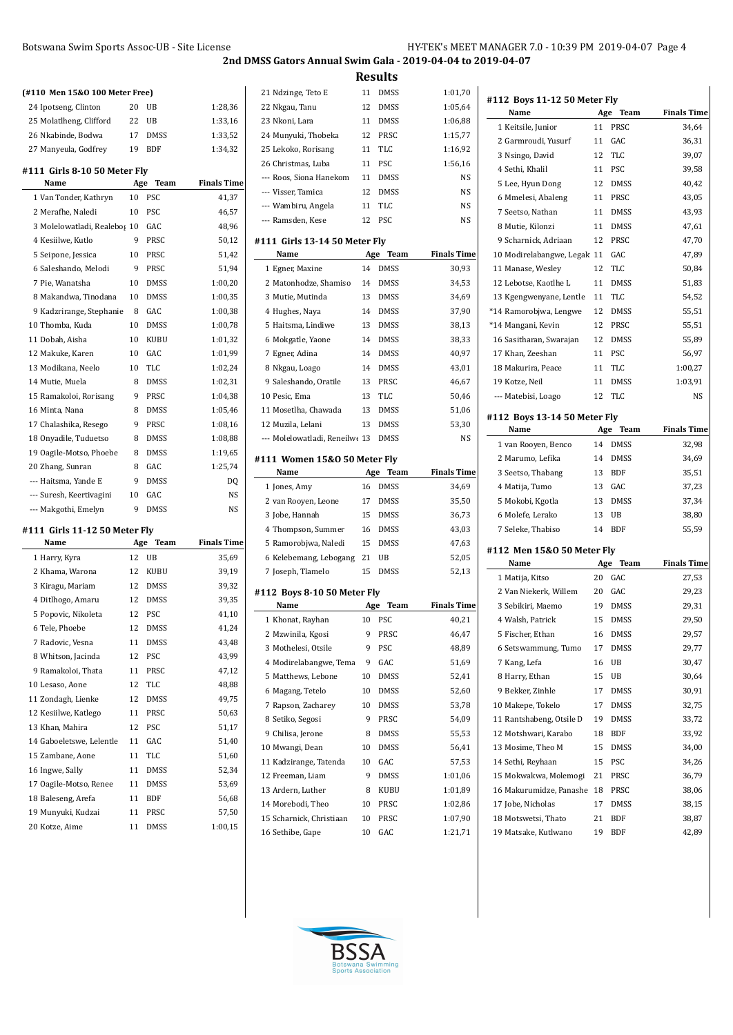| (#110 Men 15&0 100 Meter Free) |     |             |                    |
|--------------------------------|-----|-------------|--------------------|
| 24 Ipotseng, Clinton           | 20  | UB          | 1:28,36            |
| 25 Molatlheng, Clifford        | 22  | UB          | 1:33,16            |
| 26 Nkabinde, Bodwa             | 17  | <b>DMSS</b> | 1:33,52            |
| 27 Manyeula, Godfrey           | 19  | <b>BDF</b>  | 1:34,32            |
| #111  Girls 8-10 50 Meter Flv  |     |             |                    |
| Name                           | Age | Team        | <b>Finals Time</b> |
| 1 Van Tonder, Kathryn          | 10  | PSC         | 41,37              |
| 2 Merafhe, Naledi              | 10  | <b>PSC</b>  | 46,57              |
| 3 Molelowatladi, Realebos 10   |     | GAC         | 48,96              |
| 4 Kesiilwe, Kutlo              | 9   | <b>PRSC</b> | 50,12              |
| 5 Seipone, Jessica             | 10  | PRSC        | 51,42              |
| 6 Saleshando, Melodi           | 9   | PRSC        | 51,94              |
| 7 Pie, Wanatsha                | 10  | <b>DMSS</b> | 1:00,20            |
| 8 Makandwa. Tinodana           | 10  | <b>DMSS</b> | 1:00,35            |
| 9 Kadzrirange, Stephanie       | 8   | GAC.        | 1:00,38            |
| 10 Thomba, Kuda                | 10  | <b>DMSS</b> | 1:00,78            |
| 11 Dobah. Aisha                | 10  | <b>KUBU</b> | 1:01,32            |
| 12 Makuke, Karen               | 10  | GAC.        | 1:01,99            |
| 13 Modikana, Neelo             | 10  | <b>TLC</b>  | 1:02,24            |
| 14 Mutie, Muela                | 8   | <b>DMSS</b> | 1:02,31            |
| 15 Ramakoloi, Rorisang         | 9   | PRSC        | 1:04,38            |
| 16 Minta, Nana                 | 8   | <b>DMSS</b> | 1:05,46            |
| 17 Chalashika, Resego          | 9   | PRSC        | 1:08.16            |
| 18 Onyadile, Tuduetso          | 8   | <b>DMSS</b> | 1:08,88            |
| 19 Oagile-Motso, Phoebe        | 8   | <b>DMSS</b> | 1:19,65            |
| 20 Zhang, Sunran               | 8   | GAC         | 1:25,74            |
| --- Haitsma. Yande E           | 9   | <b>DMSS</b> | DO                 |
| --- Suresh, Keertivagini       | 10  | GAC         | NS                 |

### **#111 Girls 11-12 50 Meter Fly**

| Name                     |    | Team<br>Age | <b>Finals Time</b> |  |
|--------------------------|----|-------------|--------------------|--|
| 1 Harry, Kyra            | 12 | UB          | 35,69              |  |
| 2 Khama, Warona          | 12 | <b>KUBU</b> | 39,19              |  |
| 3 Kiragu, Mariam         | 12 | <b>DMSS</b> | 39,32              |  |
| 4 Ditlhogo, Amaru        | 12 | <b>DMSS</b> | 39,35              |  |
| 5 Popovic, Nikoleta      | 12 | PSC         | 41,10              |  |
| 6 Tele, Phoebe           | 12 | <b>DMSS</b> | 41,24              |  |
| 7 Radovic, Vesna         | 11 | <b>DMSS</b> | 43,48              |  |
| 8 Whitson, Jacinda       | 12 | PSC         | 43,99              |  |
| 9 Ramakoloi, Thata       | 11 | PRSC        | 47,12              |  |
| 10 Lesaso, Aone          | 12 | <b>TLC</b>  | 48.88              |  |
| 11 Zondagh, Lienke       | 12 | <b>DMSS</b> | 49,75              |  |
| 12 Kesiilwe, Katlego     | 11 | PRSC        | 50,63              |  |
| 13 Khan, Mahira          | 12 | PSC         | 51,17              |  |
| 14 Gaboeletswe, Lelentle | 11 | GAC         | 51,40              |  |
| 15 Zambane, Aone         | 11 | <b>TLC</b>  | 51,60              |  |
| 16 Ingwe, Sally          | 11 | <b>DMSS</b> | 52,34              |  |
| 17 Oagile-Motso, Renee   | 11 | <b>DMSS</b> | 53,69              |  |
| 18 Baleseng, Arefa       | 11 | <b>BDF</b>  | 56,68              |  |
| 19 Munyuki, Kudzai       | 11 | PRSC        | 57,50              |  |
| 20 Kotze, Aime           | 11 | DMSS        | 1:00,15            |  |

--- Makgothi, Emelyn 9 DMSS NS

# **Results** 21 Ndzinge, Teto E 11 DMSS 1:01,70 Nkgau, Tanu 12 DMSS 1:05,64 Nkoni, Lara 11 DMSS 1:06,88 Munyuki, Thobeka 12 PRSC 1:15,77 Lekoko, Rorisang 11 TLC 1:16,92 Christmas, Luba 11 PSC 1:56,16 --- Roos, Siona Hanekom 11 DMSS NS --- Visser, Tamica 12 DMSS NS --- Wambiru, Angela 11 TLC NS --- Ramsden, Kese 12 PSC NS **#111 Girls 13-14 50 Meter Fly Name Age Team Finals Time** Egner, Maxine 14 DMSS 30,93 2 Matonhodze, Shamiso 14 DMSS 34,53 Mutie, Mutinda 13 DMSS 34,69 Hughes, Naya 14 DMSS 37,90 Haitsma, Lindiwe 13 DMSS 38,13 Mokgatle, Yaone 14 DMSS 38,33 Egner, Adina 14 DMSS 40,97 Nkgau, Loago 14 DMSS 43,01 Saleshando, Oratile 13 PRSC 46,67 10 Pesic, Ema 13 TLC 50,46 Mosetlha, Chawada 13 DMSS 51,06 12 Muzila, Lelani 13 DMSS 53,30 --- Molelowatladi, Reneilwe 13 DMSS NS

#### **#111 Women 15&O 50 Meter Fly**

| Name                   |    | Age Team    | <b>Finals Time</b> |  |  |
|------------------------|----|-------------|--------------------|--|--|
| 1 Jones, Amy           | 16 | <b>DMSS</b> | 34,69              |  |  |
| 2 van Rooyen, Leone    | 17 | <b>DMSS</b> | 35,50              |  |  |
| 3 Jobe, Hannah         | 15 | <b>DMSS</b> | 36,73              |  |  |
| 4 Thompson, Summer     | 16 | <b>DMSS</b> | 43,03              |  |  |
| 5 Ramorobjwa, Naledi   | 15 | <b>DMSS</b> | 47,63              |  |  |
| 6 Kelebemang, Lebogang | 21 | UB          | 52,05              |  |  |
| 7 Joseph, Tlamelo      | 15 | DMSS        | 52,13              |  |  |

#### **#112 Boys 8-10 50 Meter Fly**

| Name                     |    | Age<br><b>Team</b> | <b>Finals Time</b> |  |
|--------------------------|----|--------------------|--------------------|--|
| 1 Khonat, Rayhan         | 10 | PSC                | 40,21              |  |
| 2 Mzwinila, Kgosi        | 9  | PRSC               | 46,47              |  |
| 3 Mothelesi, Otsile      | 9  | PSC                | 48,89              |  |
| 4 Modirelabangwe, Tema   | 9  | GAC                | 51,69              |  |
| 5 Matthews, Lebone       | 10 | <b>DMSS</b>        | 52,41              |  |
| 6 Magang, Tetelo         | 10 | <b>DMSS</b>        | 52,60              |  |
| 7 Rapson, Zacharey       | 10 | DMSS               | 53,78              |  |
| 8 Setiko, Segosi         | 9  | PRSC               | 54,09              |  |
| 9 Chilisa, Jerone        | 8  | <b>DMSS</b>        | 55,53              |  |
| 10 Mwangi, Dean          | 10 | <b>DMSS</b>        | 56,41              |  |
| 11 Kadzirange, Tatenda   | 10 | GAC                | 57,53              |  |
| 12 Freeman, Liam         | 9  | <b>DMSS</b>        | 1:01,06            |  |
| 13 Ardern, Luther        | 8  | <b>KUBU</b>        | 1:01,89            |  |
| 14 Morebodi, Theo        | 10 | PRSC               | 1:02,86            |  |
| 15 Scharnick, Christiaan | 10 | PRSC               | 1:07,90            |  |
| 16 Sethibe, Gape         | 10 | GAC                | 1:21,71            |  |

**#112 Boys 11-12 50 Meter Fly Name Age Team Finals Time** Keitsile, Junior 11 PRSC 34,64

| 2 Garmroudi, Yusurf                         | 11       | GAC         | 36,31              |
|---------------------------------------------|----------|-------------|--------------------|
|                                             | 12       | TLC         |                    |
| 3 Nsingo, David                             |          |             | 39,07              |
| 4 Sethi, Khalil                             | 11       | PSC         | 39,58              |
| 5 Lee, Hyun Dong                            | 12       | <b>DMSS</b> | 40,42              |
| 6 Mmelesi, Abaleng                          | 11       | PRSC        | 43,05              |
| 7 Seetso, Nathan                            | 11       | <b>DMSS</b> | 43,93              |
| 8 Mutie, Kilonzi                            | 11       | <b>DMSS</b> | 47,61              |
| 9 Scharnick, Adriaan                        | 12       | PRSC        | 47,70              |
| 10 Modirelabangwe, Legak 11                 |          | GAC         | 47,89              |
| 11 Manase, Wesley                           | 12       | <b>TLC</b>  | 50,84              |
| 12 Lebotse, Kaotlhe L                       | 11       | <b>DMSS</b> | 51,83              |
| 13 Kgengwenyane, Lentle                     | 11       | TLC         | 54,52              |
| *14 Ramorobjwa, Lengwe                      | 12       | <b>DMSS</b> | 55,51              |
| *14 Mangani, Kevin                          | 12       | PRSC        | 55,51              |
| 16 Sasitharan, Swarajan                     | 12       | <b>DMSS</b> | 55,89              |
| 17 Khan, Zeeshan                            | 11       | <b>PSC</b>  | 56,97              |
| 18 Makurira, Peace                          | 11       | TLC         | 1:00,27            |
| 19 Kotze, Neil                              | 11       | <b>DMSS</b> | 1:03,91            |
| --- Matebisi, Loago                         | 12       | <b>TLC</b>  | NS                 |
|                                             |          |             |                    |
| #112 Boys 13-14 50 Meter Fly<br>Name        | Age      | Team        | <b>Finals Time</b> |
| 1 van Rooven, Benco                         | 14       | <b>DMSS</b> |                    |
|                                             | 14       |             | 32,98              |
| 2 Marumo, Lefika                            |          | <b>DMSS</b> | 34,69              |
| 3 Seetso, Thabang                           | 13       | BDF         | 35,51              |
| 4 Matija, Tumo                              | 13       | GAC         | 37,23              |
| 5 Mokobi, Kgotla                            | 13       | <b>DMSS</b> | 37,34              |
| 6 Molefe, Lerako                            | 13       | UB          | 38,80              |
| 7 Seleke, Thabiso                           | 14       | <b>BDF</b>  | 55,59              |
| #112 Men 15&0 50 Meter Fly                  |          |             |                    |
| Name                                        | Age      | Team        | <b>Finals Time</b> |
| 1 Matija, Kitso                             | 20       | GAC         | 27,53              |
| 2 Van Niekerk, Willem                       | 20       | GAC         | 29,23              |
| 3 Sebikiri, Maemo                           | 19       | <b>DMSS</b> | 29,31              |
| 4 Walsh, Patrick                            | 15       | <b>DMSS</b> | 29,50              |
| 5 Fischer, Ethan                            | 16       | <b>DMSS</b> | 29,57              |
| 6 Setswammung, Tumo                         | 17       | <b>DMSS</b> | 29,77              |
| 7 Kang, Lefa                                | 16       | UB          | 30,47              |
| 8 Harry, Ethan                              | 15       | UB          | 30,64              |
| 9 Bekker, Zinhle                            | 17       | DMSS        | 30,91              |
| 10 Makepe, Tokelo                           | 17       | DMSS        | 32,75              |
| 11 Rantshabeng, Otsile D                    | 19       | <b>DMSS</b> | 33,72              |
| 12 Motshwari, Karabo                        | 18       | BDF         | 33,92              |
| 13 Mosime, Theo M                           | 15       | <b>DMSS</b> |                    |
| 14 Sethi, Reyhaan                           |          |             |                    |
| 15 Mokwakwa, Molemogi                       |          |             | 34,00              |
|                                             | 15       | PSC         | 34,26              |
|                                             | 21       | PRSC        | 36,79              |
| 16 Makurumidze, Panashe                     | 18       | PRSC        | 38,06              |
| 17 Jobe, Nicholas                           | 17       | DMSS        | 38,15              |
| 18 Motswetsi, Thato<br>19 Matsake, Kutlwano | 21<br>19 | BDF<br>BDF  | 38,87<br>42,89     |

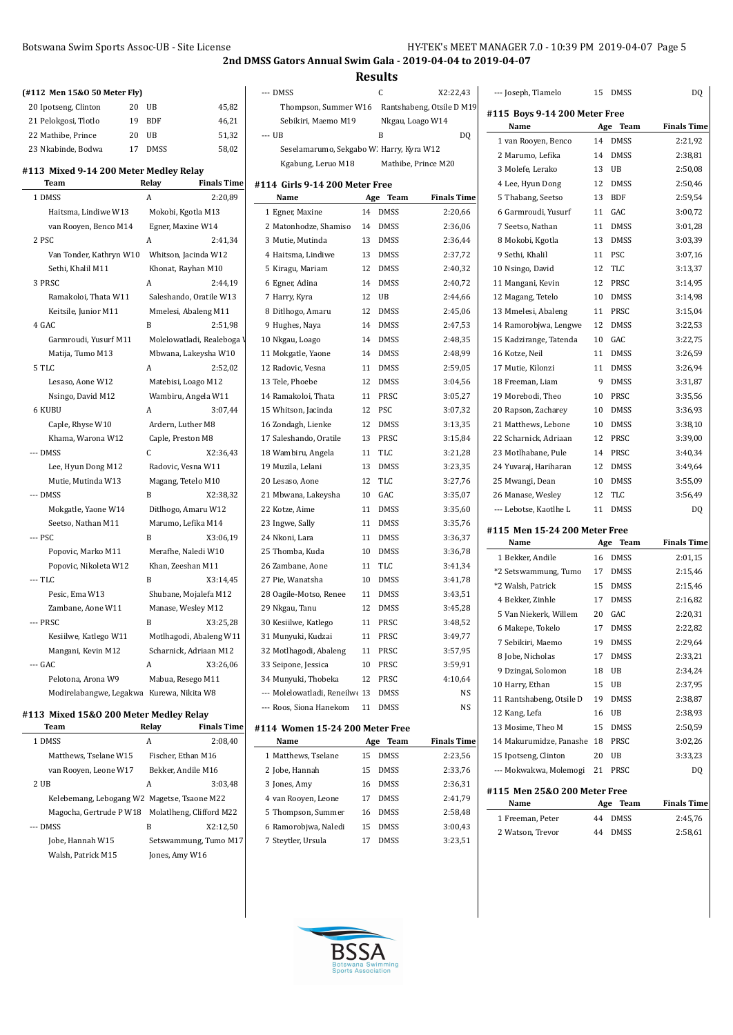## Botswana Swim Sports Assoc-UB - Site License H

**2nd DMSS Gators Annual Swim Gala - 2019-04-04 to 2019-04-07**

**Results**

| (#112 Men 15&0 50 Meter Fly)                   |       |             |                                         | --- DMSS                                 |    | C           | X2:22,43                  |
|------------------------------------------------|-------|-------------|-----------------------------------------|------------------------------------------|----|-------------|---------------------------|
| 20 Ipotseng, Clinton                           | 20 UB |             | 45,82                                   | Thompson, Summer W16                     |    |             | Rantshabeng, Otsile D M19 |
| 21 Pelokgosi, Tlotlo                           | 19    | <b>BDF</b>  | 46,21                                   | Sebikiri, Maemo M19                      |    |             | Nkgau, Loago W14          |
| 22 Mathibe, Prince                             | 20    | UB          | 51,32                                   | --- UB                                   |    | B           | DQ                        |
| 23 Nkabinde, Bodwa                             | 17    | <b>DMSS</b> | 58,02                                   | Seselamarumo, Sekgabo W. Harry, Kyra W12 |    |             |                           |
|                                                |       |             |                                         | Kgabung, Leruo M18                       |    |             | Mathibe, Prince M20       |
| #113 Mixed 9-14 200 Meter Medley Relay<br>Team |       | Relay       | <b>Finals Time</b>                      |                                          |    |             |                           |
| 1 DMSS                                         | A     |             | 2:20,89                                 | #114 Girls 9-14 200 Meter Free<br>Name   |    | Age Team    | <b>Finals Time</b>        |
| Haitsma, Lindiwe W13                           |       |             |                                         | 1 Egner, Maxine                          |    | 14 DMSS     | 2:20,66                   |
| van Rooyen, Benco M14                          |       |             | Mokobi, Kgotla M13<br>Egner, Maxine W14 | 2 Matonhodze, Shamiso                    | 14 | <b>DMSS</b> | 2:36,06                   |
| 2 PSC                                          | A     |             | 2:41,34                                 | 3 Mutie, Mutinda                         | 13 | <b>DMSS</b> | 2:36,44                   |
| Van Tonder, Kathryn W10                        |       |             | Whitson, Jacinda W12                    | 4 Haitsma, Lindiwe                       |    | 13 DMSS     | 2:37,72                   |
| Sethi, Khalil M11                              |       |             | Khonat, Rayhan M10                      | 5 Kiragu, Mariam                         | 12 | <b>DMSS</b> | 2:40,32                   |
| 3 PRSC                                         | A     |             | 2:44,19                                 |                                          |    | 14 DMSS     |                           |
|                                                |       |             |                                         | 6 Egner, Adina                           |    | 12 UB       | 2:40,72                   |
| Ramakoloi, Thata W11                           |       |             | Saleshando, Oratile W13                 | 7 Harry, Kyra                            |    |             | 2:44,66                   |
| Keitsile, Junior M11                           | B     |             | Mmelesi, Abaleng M11                    | 8 Ditlhogo, Amaru                        |    | 12 DMSS     | 2:45,06                   |
| 4 GAC                                          |       |             | 2:51,98                                 | 9 Hughes, Naya                           |    | 14 DMSS     | 2:47,53                   |
| Garmroudi, Yusurf M11                          |       |             | Molelowatladi, Realeboga V              | 10 Nkgau, Loago                          |    | 14 DMSS     | 2:48,35                   |
| Matija, Tumo M13                               |       |             | Mbwana, Lakeysha W10                    | 11 Mokgatle, Yaone                       | 14 | <b>DMSS</b> | 2:48,99                   |
| 5 TLC                                          | A     |             | 2:52,02                                 | 12 Radovic, Vesna                        |    | 11 DMSS     | 2:59,05                   |
| Lesaso, Aone W12                               |       |             | Matebisi, Loago M12                     | 13 Tele, Phoebe                          |    | 12 DMSS     | 3:04,56                   |
| Nsingo, David M12                              |       |             | Wambiru, Angela W11                     | 14 Ramakoloi, Thata                      | 11 | PRSC        | 3:05,27                   |
| 6 KUBU                                         | A     |             | 3:07,44                                 | 15 Whitson, Jacinda                      |    | 12 PSC      | 3:07,32                   |
| Caple, Rhyse W10                               |       |             | Ardern, Luther M8                       | 16 Zondagh, Lienke                       |    | 12 DMSS     | 3:13,35                   |
| Khama, Warona W12                              |       |             | Caple, Preston M8                       | 17 Saleshando, Oratile                   |    | 13 PRSC     | 3:15,84                   |
| --- DMSS                                       | C     |             | X2:36,43                                | 18 Wambiru, Angela                       | 11 | <b>TLC</b>  | 3:21,28                   |
| Lee, Hyun Dong M12                             |       |             | Radovic, Vesna W11                      | 19 Muzila, Lelani                        | 13 | <b>DMSS</b> | 3:23,35                   |
| Mutie, Mutinda W13                             |       |             | Magang, Tetelo M10                      | 20 Lesaso, Aone                          |    | 12 TLC      | 3:27,76                   |
| --- DMSS                                       | B     |             | X2:38,32                                | 21 Mbwana, Lakeysha                      | 10 | GAC         | 3:35,07                   |
| Mokgatle, Yaone W14                            |       |             | Ditlhogo, Amaru W12                     | 22 Kotze, Aime                           | 11 | <b>DMSS</b> | 3:35,60                   |
| Seetso, Nathan M11                             |       |             | Marumo, Lefika M14                      | 23 Ingwe, Sally                          |    | 11 DMSS     | 3:35,76                   |
| --- PSC                                        | B     |             | X3:06,19                                | 24 Nkoni, Lara                           | 11 | <b>DMSS</b> | 3:36,37                   |
| Popovic, Marko M11                             |       |             | Merafhe, Naledi W10                     | 25 Thomba, Kuda                          | 10 | DMSS        | 3:36,78                   |
| Popovic, Nikoleta W12                          |       |             | Khan, Zeeshan M11                       | 26 Zambane, Aone                         | 11 | <b>TLC</b>  | 3:41,34                   |
| --- TLC                                        | B     |             | X3:14,45                                | 27 Pie, Wanatsha                         | 10 | <b>DMSS</b> | 3:41,78                   |
| Pesic, Ema W13                                 |       |             | Shubane, Mojalefa M12                   | 28 Oagile-Motso, Renee                   | 11 | DMSS        | 3:43,51                   |
| Zambane, Aone W11                              |       |             | Manase, Wesley M12                      | 29 Nkgau, Tanu                           |    | 12 DMSS     | 3:45,28                   |
| --- PRSC                                       | B     |             | X3:25,28                                | 30 Kesiilwe, Katlego                     | 11 | PRSC        | 3:48,52                   |
| Kesiilwe, Katlego W11                          |       |             | Motlhagodi, Abaleng W11                 | 31 Munyuki, Kudzai                       |    | 11 PRSC     | 3:49,77                   |
| Mangani, Kevin M12                             |       |             | Scharnick, Adriaan M12                  | 32 Motlhagodi, Abaleng                   |    | 11 PRSC     | 3:57,95                   |
| --- GAC                                        | A     |             | X3:26,06                                | 33 Seipone, Jessica                      | 10 | PRSC        | 3:59,91                   |
| Pelotona, Arona W9                             |       |             | Mabua, Resego M11                       | 34 Munyuki, Thobeka                      | 12 | PRSC        | 4:10,64                   |
| Modirelabangwe, Legakwa Kurewa, Nikita W8      |       |             |                                         | --- Molelowatladi, Reneilwe 13           |    | <b>DMSS</b> | NS                        |
| #112 Mived 1580.200 Meter Medley Polay         |       |             |                                         | --- Roos, Siona Hanekom                  | 11 | <b>DMSS</b> | <b>NS</b>                 |

## **#113 Mixed 15&O 200 Meter Medley Relay**

| Team                                             | Relay | <b>Finals Time</b>    |
|--------------------------------------------------|-------|-----------------------|
| 1 DMSS                                           | А     | 2:08.40               |
| Matthews, Tselane W15                            |       | Fischer, Ethan M16    |
| van Rooyen, Leone W17                            |       | Bekker, Andile M16    |
| 2 UB                                             | A     | 3:03.48               |
| Kelebemang, Lebogang W2 Magetse, Tsaone M22      |       |                       |
| Magocha, Gertrude P W18 Molatlheng, Clifford M22 |       |                       |
| $-$ DMSS                                         | В     | X2:12.50              |
| Jobe, Hannah W15                                 |       | Setswammung, Tumo M17 |
| Walsh. Patrick M15                               |       | Jones, Amy W16        |
|                                                  |       |                       |

| Sebikiri, Maemo M19                      |    | Nkgau, Loago W14    |                    |
|------------------------------------------|----|---------------------|--------------------|
| --- UB                                   |    | B                   | <b>DQ</b>          |
| Seselamarumo, Sekgabo W. Harry, Kyra W12 |    |                     |                    |
| Kgabung, Leruo M18                       |    | Mathibe, Prince M20 |                    |
| #114  Girls 9-14 200 Meter Free          |    |                     |                    |
| Name                                     |    | Age Team            | <b>Finals Time</b> |
| 1 Egner, Maxine                          | 14 | <b>DMSS</b>         | 2:20,66            |
| 2 Matonhodze, Shamiso                    | 14 | <b>DMSS</b>         | 2:36,06            |
| 3 Mutie, Mutinda                         | 13 | <b>DMSS</b>         | 2:36,44            |
| 4 Haitsma, Lindiwe                       | 13 | <b>DMSS</b>         | 2:37,72            |
| 5 Kiragu, Mariam                         | 12 | <b>DMSS</b>         | 2:40,32            |
| 6 Egner, Adina                           | 14 | <b>DMSS</b>         | 2:40,72            |
| 7 Harry, Kyra                            | 12 | UB                  | 2:44,66            |
| 8 Ditlhogo, Amaru                        | 12 | <b>DMSS</b>         | 2:45,06            |
| 9 Hughes, Naya                           | 14 | <b>DMSS</b>         | 2:47,53            |
| 10 Nkgau, Loago                          | 14 | <b>DMSS</b>         | 2:48,35            |
| 11 Mokgatle, Yaone                       | 14 | <b>DMSS</b>         | 2:48,99            |
| 12 Radovic, Vesna                        | 11 | <b>DMSS</b>         | 2:59,05            |
| 13 Tele, Phoebe                          | 12 | <b>DMSS</b>         | 3:04,56            |
| 14 Ramakoloi, Thata                      | 11 | PRSC                | 3:05,27            |
| 15 Whitson, Jacinda                      | 12 | PSC                 | 3:07,32            |
| 16 Zondagh, Lienke                       | 12 | <b>DMSS</b>         | 3:13,35            |
| 17 Saleshando, Oratile                   | 13 | PRSC                | 3:15,84            |
| 18 Wambiru, Angela                       | 11 | <b>TLC</b>          | 3:21,28            |
| 19 Muzila, Lelani                        | 13 | <b>DMSS</b>         | 3:23,35            |
| 20 Lesaso, Aone                          | 12 | TLC                 | 3:27,76            |
| 21 Mbwana, Lakeysha                      | 10 | GAC                 | 3:35,07            |
| 22 Kotze, Aime                           | 11 | <b>DMSS</b>         | 3:35,60            |
| 23 Ingwe, Sally                          | 11 | <b>DMSS</b>         | 3:35,76            |
| 24 Nkoni, Lara                           | 11 | <b>DMSS</b>         | 3:36,37            |
| 25 Thomba, Kuda                          | 10 | <b>DMSS</b>         | 3:36,78            |
| 26 Zambane, Aone                         | 11 | <b>TLC</b>          | 3:41,34            |
| 27 Pie, Wanatsha                         | 10 | <b>DMSS</b>         | 3:41,78            |
| 28 Oagile-Motso, Renee                   | 11 | <b>DMSS</b>         | 3:43,51            |
| 29 Nkgau, Tanu                           | 12 | <b>DMSS</b>         | 3:45,28            |
| 30 Kesiilwe, Katlego                     | 11 | PRSC                | 3:48,52            |
| 31 Munyuki, Kudzai                       | 11 | PRSC                | 3:49,77            |
| 32 Motlhagodi, Abaleng                   | 11 | PRSC                | 3:57,95            |
| 33 Seipone, Jessica                      | 10 | PRSC                | 3:59,91            |
| 34 Munyuki, Thobeka                      | 12 | PRSC                | 4:10,64            |
| --- Molelowatladi, Reneilwe 13           |    | DMSS                | NS                 |
| --- Roos, Siona Hanekom                  | 11 | <b>DMSS</b>         | N <sub>S</sub>     |
| #114 Women 15-24 200 Meter Free          |    |                     |                    |

| Name |                      | Team<br>Age       | <b>Finals Time</b> |
|------|----------------------|-------------------|--------------------|
|      | 1 Matthews, Tselane  | <b>DMSS</b><br>15 | 2:23,56            |
|      | 2 Jobe, Hannah       | <b>DMSS</b><br>15 | 2:33,76            |
|      | 3 Jones, Amy         | <b>DMSS</b><br>16 | 2:36,31            |
|      | 4 van Rooyen, Leone  | <b>DMSS</b><br>17 | 2:41,79            |
|      | 5 Thompson, Summer   | <b>DMSS</b><br>16 | 2:58.48            |
|      | 6 Ramorobjwa, Naledi | <b>DMSS</b><br>15 | 3:00.43            |
|      | 7 Steytler, Ursula   | DMSS<br>17        | 3:23.51            |

| --- Joseph, Tlamelo           | 15  | DMSS        | DQ                 |
|-------------------------------|-----|-------------|--------------------|
| #115 Boys 9-14 200 Meter Free |     |             |                    |
| Name                          | Age | Team        | <b>Finals Time</b> |
| 1 van Rooyen, Benco           | 14  | <b>DMSS</b> | 2:21,92            |
| 2 Marumo, Lefika              | 14  | <b>DMSS</b> | 2:38,81            |
| 3 Molefe, Lerako              | 13  | UB          | 2:50,08            |
| 4 Lee, Hyun Dong              | 12  | <b>DMSS</b> | 2:50,46            |
| 5 Thabang, Seetso             | 13  | <b>BDF</b>  | 2:59,54            |
| 6 Garmroudi, Yusurf           | 11  | GAC         | 3:00,72            |
| 7 Seetso, Nathan              | 11  | <b>DMSS</b> | 3:01,28            |
| 8 Mokobi, Kgotla              | 13  | <b>DMSS</b> | 3:03,39            |
| 9 Sethi, Khalil               | 11  | PSC         | 3:07,16            |
| 10 Nsingo, David              | 12  | TLC         | 3:13,37            |
| 11 Mangani, Kevin             | 12  | PRSC        | 3:14,95            |
| 12 Magang, Tetelo             | 10  | <b>DMSS</b> | 3:14,98            |
| 13 Mmelesi, Abaleng           | 11  | PRSC        | 3:15,04            |
| 14 Ramorobjwa, Lengwe         | 12  | DMSS        | 3:22,53            |
| 15 Kadzirange, Tatenda        | 10  | GAC         | 3:22,75            |
| 16 Kotze, Neil                | 11  | <b>DMSS</b> | 3:26,59            |
| 17 Mutie, Kilonzi             | 11  | DMSS        | 3:26,94            |
| 18 Freeman, Liam              | 9   | <b>DMSS</b> | 3:31,87            |
| 19 Morebodi, Theo             | 10  | PRSC        | 3:35,56            |
| 20 Rapson, Zacharey           | 10  | <b>DMSS</b> | 3:36,93            |
| 21 Matthews, Lebone           | 10  | <b>DMSS</b> | 3:38,10            |
| 22 Scharnick, Adriaan         | 12  | PRSC        | 3:39,00            |
| 23 Motlhabane, Pule           | 14  | PRSC        | 3:40,34            |
| 24 Yuvaraj, Hariharan         | 12  | DMSS        | 3:49,64            |
| 25 Mwangi, Dean               | 10  | <b>DMSS</b> | 3:55,09            |
| 26 Manase, Wesley             | 12  | TLC         | 3:56,49            |
| --- Lebotse, Kaotlhe L        | 11  | <b>DMSS</b> | <b>DQ</b>          |
| #115 Men 15-24 200 Meter Free |     |             |                    |

| Name                         | Age | Team        | <b>Finals Time</b> |
|------------------------------|-----|-------------|--------------------|
| 1 Bekker, Andile             | 16  | <b>DMSS</b> | 2:01,15            |
| *2 Setswammung, Tumo         | 17  | <b>DMSS</b> | 2:15,46            |
| *2 Walsh, Patrick            | 15  | <b>DMSS</b> | 2:15,46            |
| 4 Bekker, Zinhle             | 17  | <b>DMSS</b> | 2:16,82            |
| 5 Van Niekerk, Willem        | 20  | GAC         | 2:20,31            |
| 6 Makepe, Tokelo             | 17  | <b>DMSS</b> | 2:22,82            |
| 7 Sebikiri. Maemo            | 19  | <b>DMSS</b> | 2:29,64            |
| 8 Jobe, Nicholas             | 17  | <b>DMSS</b> | 2:33,21            |
| 9 Dzingai, Solomon           | 18  | UB          | 2:34,24            |
| 10 Harry, Ethan              | 15  | UB          | 2:37,95            |
| 11 Rantshabeng, Otsile D     | 19  | <b>DMSS</b> | 2:38,87            |
| 12 Kang, Lefa                | 16  | UB          | 2:38,93            |
| 13 Mosime, Theo M            | 15  | <b>DMSS</b> | 2:50,59            |
| 14 Makurumidze, Panashe      | 18  | PRSC        | 3:02,26            |
| 15 Ipotseng, Clinton         | 20  | UB          | 3:33,23            |
| --- Mokwakwa, Molemogi       | 21  | PRSC        | D <sub>0</sub>     |
| #115 Men 25&0 200 Meter Free |     |             |                    |
| Name                         | Age | Team        | <b>Finals Time</b> |

| .                | ----<br>------    |         |
|------------------|-------------------|---------|
| 1 Freeman. Peter | 44 DMSS           | 2:45,76 |
| 2 Watson, Trevor | <b>DMSS</b><br>44 | 2:58,61 |

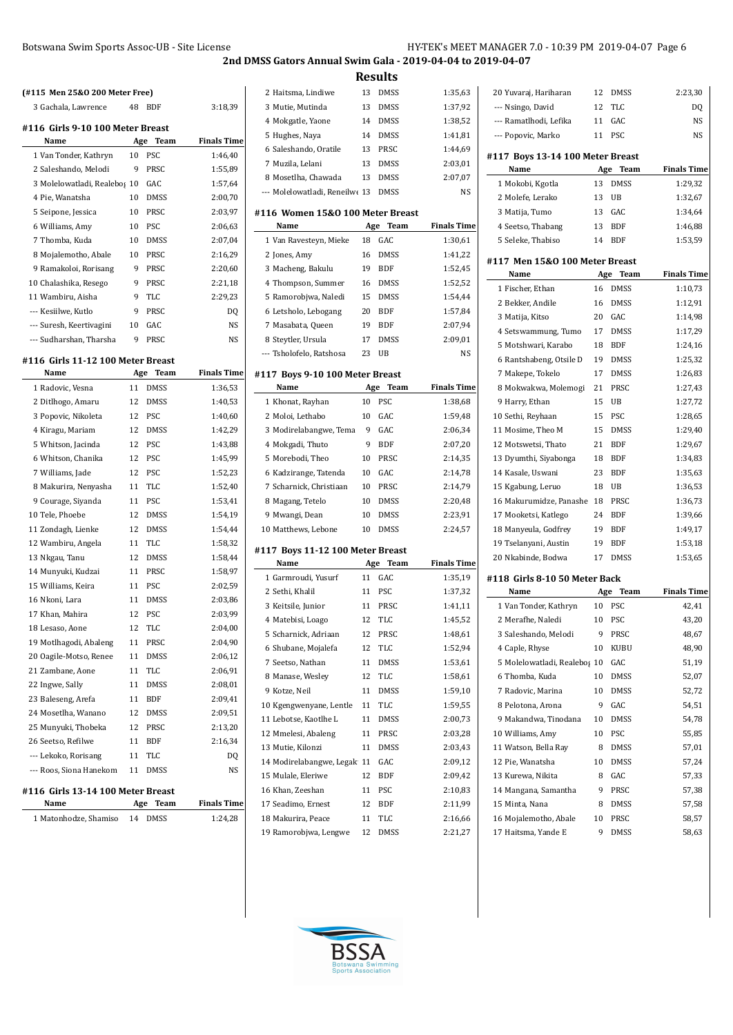| (#115 Men 25&0 200 Meter Free)    |                 |             |                    |
|-----------------------------------|-----------------|-------------|--------------------|
| 3 Gachala, Lawrence               | 48              | BDF         | 3:18,39            |
| #116 Girls 9-10 100 Meter Breast  |                 |             |                    |
| Name                              | Age             | <b>Team</b> | <b>Finals Time</b> |
| 1 Van Tonder, Kathryn             | 10              | <b>PSC</b>  | 1:46,40            |
| 2 Saleshando, Melodi              | 9               | <b>PRSC</b> | 1:55,89            |
| 3 Molelowatladi, Realebos 10      |                 | GAC.        | 1:57,64            |
| 4 Pie, Wanatsha                   | 10              | <b>DMSS</b> | 2:00,70            |
| 5 Seipone, Jessica                | 10 <sup>1</sup> | <b>PRSC</b> | 2:03,97            |
| 6 Williams, Amy                   | 10              | PSC         | 2:06.63            |
| 7 Thomba, Kuda                    | 10              | <b>DMSS</b> | 2:07,04            |
| 8 Mojalemotho, Abale              | 10              | <b>PRSC</b> | 2:16,29            |
| 9 Ramakoloi, Rorisang             | 9               | PRSC        | 2:20,60            |
| 10 Chalashika, Resego             | 9               | <b>PRSC</b> | 2:21,18            |
| 11 Wambiru, Aisha                 | 9               | <b>TLC</b>  | 2:29,23            |
| --- Kesiilwe, Kutlo               | 9               | <b>PRSC</b> | D <sub>0</sub>     |
| --- Suresh, Keertivagini          | 10              | GAC.        | <b>NS</b>          |
| --- Sudharshan. Tharsha           | 9               | PRSC        | N <sub>S</sub>     |
| #116 Girls 11-12 100 Meter Breast |                 |             |                    |
| Name                              | Age             | Team        | <b>Finals Time</b> |
| 1 Radovic, Vesna                  | 11              | <b>DMSS</b> | 1:36,53            |
| 2 Ditlhogo, Amaru                 | 12              | <b>DMSS</b> | 1:40,53            |
| 3 Popovic, Nikoleta               | 12              | PSC         | 1:40,60            |
| 4 Kiragu, Mariam                  | 12              | <b>DMSS</b> | 1:42,29            |
| 5 Whitson, Jacinda                | 12              | <b>PSC</b>  | 1:43,88            |
| 6 Whitson, Chanika                | 12              | <b>PSC</b>  | 1:45,99            |
|                                   |                 |             |                    |

| 5 Whitson, Jacinda      | 12 | PSC         | 1:43,88   |
|-------------------------|----|-------------|-----------|
| 6 Whitson, Chanika      | 12 | PSC         | 1:45,99   |
| 7 Williams, Jade        | 12 | <b>PSC</b>  | 1:52,23   |
| 8 Makurira, Nenyasha    | 11 | <b>TLC</b>  | 1:52,40   |
| 9 Courage, Siyanda      | 11 | <b>PSC</b>  | 1:53,41   |
| 10 Tele, Phoebe         | 12 | <b>DMSS</b> | 1:54,19   |
| 11 Zondagh, Lienke      | 12 | <b>DMSS</b> | 1:54,44   |
| 12 Wambiru, Angela      | 11 | <b>TLC</b>  | 1:58,32   |
| 13 Nkgau, Tanu          | 12 | <b>DMSS</b> | 1:58,44   |
| 14 Munyuki, Kudzai      | 11 | PRSC        | 1:58,97   |
| 15 Williams, Keira      | 11 | <b>PSC</b>  | 2:02,59   |
| 16 Nkoni, Lara          | 11 | <b>DMSS</b> | 2:03,86   |
| 17 Khan, Mahira         | 12 | <b>PSC</b>  | 2:03,99   |
| 18 Lesaso, Aone         | 12 | <b>TLC</b>  | 2:04,00   |
| 19 Motlhagodi, Abaleng  | 11 | PRSC        | 2:04,90   |
| 20 Oagile-Motso, Renee  | 11 | <b>DMSS</b> | 2:06.12   |
| 21 Zambane, Aone        | 11 | <b>TLC</b>  | 2:06,91   |
| 22 Ingwe, Sally         | 11 | <b>DMSS</b> | 2:08,01   |
| 23 Baleseng, Arefa      | 11 | <b>BDF</b>  | 2:09,41   |
| 24 Mosetlha, Wanano     | 12 | <b>DMSS</b> | 2:09,51   |
| 25 Munyuki, Thobeka     | 12 | PRSC        | 2:13,20   |
| 26 Seetso, Refilwe      | 11 | <b>BDF</b>  | 2:16,34   |
| --- Lekoko, Rorisang    | 11 | <b>TLC</b>  | DQ        |
| --- Roos, Siona Hanekom | 11 | <b>DMSS</b> | <b>NS</b> |
| 147.011.40.44.40015     |    | $\sqrt{2}$  |           |

## **#116 Girls 13-14 100 Meter Breast**

**Name Age Team Finals Time** Matonhodze, Shamiso 14 DMSS 1:24,28

|                                          |     | <b>Results</b> |                    |
|------------------------------------------|-----|----------------|--------------------|
| 2 Haitsma, Lindiwe                       | 13  | <b>DMSS</b>    | 1:35,63            |
| 3 Mutie, Mutinda                         | 13  | DMSS           | 1:37,92            |
| 4 Mokgatle, Yaone                        | 14  | <b>DMSS</b>    | 1:38,52            |
| 5 Hughes, Naya                           | 14  | <b>DMSS</b>    | 1:41,81            |
| 6 Saleshando, Oratile                    | 13  | PRSC           | 1:44,69            |
| 7 Muzila, Lelani                         | 13  | <b>DMSS</b>    | 2:03,01            |
| 8 Mosetlha, Chawada                      | 13  | DMSS           | 2:07,07            |
| --- Molelowatladi, Reneilwe 13           |     | DMSS           | <b>NS</b>          |
| #116 Women 15&0 100 Meter Breast         |     |                |                    |
| Name                                     | Age | Team           | <b>Finals Time</b> |
| 1 Van Ravesteyn, Mieke                   | 18  | GAC            | 1:30,61            |
| 2 Jones, Amy                             | 16  | <b>DMSS</b>    | 1:41,22            |
| 3 Macheng, Bakulu                        | 19  | BDF            | 1:52,45            |
| 4 Thompson, Summer                       | 16  | DMSS           | 1:52,52            |
| 5 Ramorobjwa, Naledi                     | 15  | <b>DMSS</b>    | 1:54,44            |
| 6 Letsholo, Lebogang                     | 20  | <b>BDF</b>     | 1:57,84            |
| 7 Masabata, Queen                        | 19  | BDF            | 2:07,94            |
| 8 Steytler, Ursula                       | 17  | DMSS           | 2:09,01            |
| --- Tsholofelo, Ratshosa                 | 23  | UB             | NS                 |
|                                          |     |                |                    |
| #117 Boys 9-10 100 Meter Breast<br>Name  | Age | Team           | <b>Finals Time</b> |
| 1 Khonat, Rayhan                         | 10  | PSC            | 1:38,68            |
| 2 Moloi, Lethabo                         | 10  | GAC            | 1:59,48            |
| 3 Modirelabangwe, Tema                   | 9   | GAC            | 2:06,34            |
| 4 Mokgadi, Thuto                         | 9   | <b>BDF</b>     | 2:07,20            |
| 5 Morebodi, Theo                         | 10  | PRSC           | 2:14,35            |
| 6 Kadzirange, Tatenda                    | 10  | GAC            | 2:14,78            |
| 7 Scharnick, Christiaan                  | 10  | PRSC           | 2:14,79            |
| 8 Magang, Tetelo                         | 10  | DMSS           | 2:20,48            |
| 9 Mwangi, Dean                           | 10  | DMSS           | 2:23,91            |
| 10 Matthews, Lebone                      | 10  | DMSS           | 2:24,57            |
|                                          |     |                |                    |
| #117 Boys 11-12 100 Meter Breast<br>Name | Age | <b>Team</b>    | <b>Finals Time</b> |
| 1 Garmroudi, Yusurf                      | 11  | GAC            | 1:35,19            |
| 2 Sethi, Khalil                          | 11  | PSC            | 1:37,32            |
| 3 Keitsile, Junior                       | 11  | PRSC           | 1:41,11            |
| 4 Matebisi, Loago                        | 12  | TLC            | 1:45,52            |
| 5 Scharnick, Adriaan                     | 12  | PRSC           | 1:48,61            |
| 6 Shubane, Mojalefa                      | 12  | TLC            | 1:52,94            |
| 7 Seetso, Nathan                         | 11  | DMSS           | 1:53,61            |
| 8 Manase, Wesley                         | 12  | TLC            | 1:58,61            |
| 9 Kotze, Neil                            | 11  | DMSS           | 1:59,10            |
| 10 Kgengwenyane, Lentle                  | 11  | TLC            | 1:59,55            |
| 11 Lebotse, Kaotlhe L                    | 11  | DMSS           | 2:00,73            |
| 12 Mmelesi, Abaleng                      | 11  | PRSC           | 2:03,28            |
| 13 Mutie, Kilonzi                        | 11  | DMSS           | 2:03,43            |
| 14 Modirelabangwe, Legak 11              |     | GAC            | 2:09,12            |
| 15 Mulale, Eleriwe                       | 12  | BDF            | 2:09,42            |
| 16 Khan, Zeeshan                         | 11  | PSC            | 2:10,83            |
| 17 Seadimo, Ernest                       | 12  | BDF            | 2:11,99            |
| 18 Makurira, Peace                       | 11  | TLC            | 2:16,66            |

| 20 Yuvaraj, Hariharan            | 12  | <b>DMSS</b> | 2:23,30            |
|----------------------------------|-----|-------------|--------------------|
| --- Nsingo, David                | 12  | <b>TLC</b>  | DQ                 |
| --- Ramatlhodi, Lefika           | 11  | GAC         | NS                 |
| --- Popovic, Marko               | 11  | <b>PSC</b>  | <b>NS</b>          |
| #117 Boys 13-14 100 Meter Breast |     |             |                    |
| Name                             | Age | Team        | <b>Finals Time</b> |
| 1 Mokobi, Kgotla                 | 13  | DMSS        | 1:29,32            |
| 2 Molefe, Lerako                 | 13  | UB          | 1:32,67            |
| 3 Matija, Tumo                   | 13  | GAC         | 1:34,64            |
| 4 Seetso, Thabang                | 13  | <b>BDF</b>  | 1:46,88            |
| 5 Seleke, Thabiso                | 14  | BDF         | 1:53,59            |
|                                  |     |             |                    |
| #117 Men 15&0 100 Meter Breast   |     |             |                    |
| Name                             | Age | Team        | <b>Finals Time</b> |
| 1 Fischer, Ethan                 | 16  | DMSS        | 1:10,73            |
| 2 Bekker, Andile                 | 16  | <b>DMSS</b> | 1:12,91            |
| 3 Matija, Kitso                  | 20  | GAC         | 1:14,98            |
| 4 Setswammung, Tumo              | 17  | <b>DMSS</b> | 1:17,29            |
| 5 Motshwari, Karabo              | 18  | <b>BDF</b>  | 1:24,16            |
| 6 Rantshabeng, Otsile D          | 19  | <b>DMSS</b> | 1:25,32            |
| 7 Makepe, Tokelo                 | 17  | <b>DMSS</b> | 1:26,83            |
| 8 Mokwakwa, Molemogi             | 21  | PRSC        | 1:27,43            |
| 9 Harry, Ethan                   | 15  | UB          | 1:27,72            |
| 10 Sethi, Reyhaan                | 15  | <b>PSC</b>  | 1:28,65            |
| 11 Mosime, Theo M                | 15  | <b>DMSS</b> | 1:29,40            |
| 12 Motswetsi, Thato              | 21  | <b>BDF</b>  | 1:29,67            |
| 13 Dyumthi, Siyabonga            | 18  | BDF         | 1:34,83            |
| 14 Kasale, Uswani                | 23  | <b>BDF</b>  | 1:35,63            |
| 15 Kgabung, Leruo                | 18  | UB          | 1:36,53            |
| 16 Makurumidze, Panashe          | 18  | PRSC        | 1:36,73            |
| 17 Mooketsi, Katlego             | 24  | BDF         | 1:39,66            |
| 18 Manyeula, Godfrey             | 19  | BDF         | 1:49,17            |
| 19 Tselanyani, Austin            | 19  | BDF         | 1:53,18            |
| 20 Nkabinde, Bodwa               | 17  | <b>DMSS</b> | 1:53,65            |
| #118  Girls 8-10 50 Meter Back   |     |             |                    |
| Name                             | Age | Team        | <b>Finals Time</b> |
| 1 Van Tonder, Kathryn            | 10  | <b>PSC</b>  | 42,41              |
| 2 Merafhe, Naledi                | 10  | <b>PSC</b>  | 43,20              |
| 3 Saleshando, Melodi             | 9   | PRSC        | 48,67              |
| 4 Caple, Rhyse                   | 10  | KUBU        | 48,90              |
| 5 Molelowatladi, Realebos 10     |     | GAC         | 51,19              |
| 6 Thomba, Kuda                   | 10  | <b>DMSS</b> | 52,07              |
| 7 Radovic, Marina                | 10  | DMSS        | 52,72              |
| 8 Pelotona, Arona                | 9   | GAC         | 54,51              |
| 9 Makandwa, Tinodana             | 10  | <b>DMSS</b> | 54,78              |
| 10 Williams, Amy                 | 10  | PSC         | 55,85              |
| 11 Watson, Bella Ray             | 8   | DMSS        | 57,01              |
| 12 Pie, Wanatsha                 | 10  | DMSS        | 57,24              |
| 13 Kurewa, Nikita                | 8   | GAC         | 57,33              |
| 14 Mangana, Samantha             | 9   | PRSC        | 57,38              |
| 15 Minta, Nana                   | 8   | DMSS        | 57,58              |
| 16 Mojalemotho, Abale            | 10  | PRSC        | 58,57              |
| 17 Haitsma, Yande E              | 9   | DMSS        | 58,63              |



Ramorobjwa, Lengwe 12 DMSS 2:21,27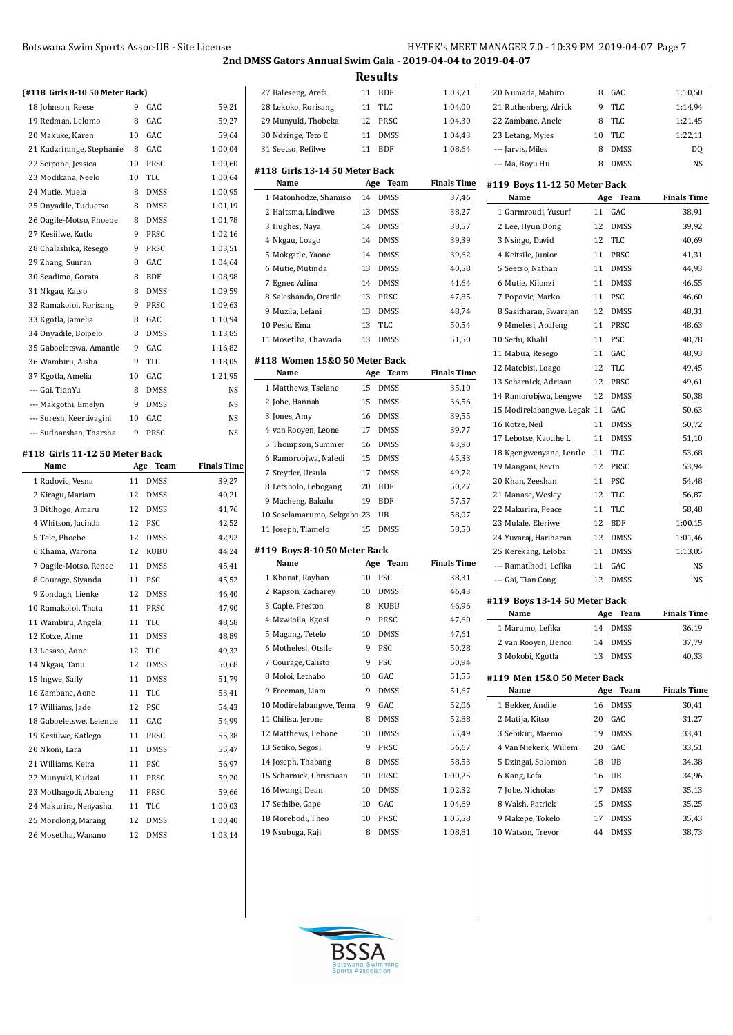**2nd DMSS Gators Annual Swim Gala - 2019-04-04 to 2019-04-07**

**Results**

| (#118. Girls 8-10.50 Meter Back). |  |  |
|-----------------------------------|--|--|

| (#118 Girls 8-10 50 Meter Back)            |          |              |                    |
|--------------------------------------------|----------|--------------|--------------------|
| 18 Johnson, Reese                          | 9        | GAC          | 59,21              |
| 19 Redman, Lelomo                          | 8        | GAC          | 59,27              |
| 20 Makuke, Karen                           | 10       | GAC          | 59,64              |
| 21 Kadzrirange, Stephanie                  | 8        | GAC          | 1:00,04            |
| 22 Seipone, Jessica                        | 10       | PRSC         | 1:00,60            |
| 23 Modikana, Neelo                         | 10       | TLC          | 1:00,64            |
| 24 Mutie, Muela                            | 8        | <b>DMSS</b>  | 1:00,95            |
| 25 Onyadile, Tuduetso                      | 8        | <b>DMSS</b>  | 1:01,19            |
| 26 Oagile-Motso, Phoebe                    | 8        | <b>DMSS</b>  | 1:01,78            |
| 27 Kesiilwe, Kutlo                         | 9        | PRSC         | 1:02,16            |
| 28 Chalashika, Resego                      | 9        | PRSC         | 1:03,51            |
| 29 Zhang, Sunran                           | 8        | GAC          | 1:04,64            |
| 30 Seadimo, Gorata                         | 8        | BDF          | 1:08,98            |
| 31 Nkgau, Katso                            | 8        | DMSS         | 1:09,59            |
| 32 Ramakoloi, Rorisang                     | 9        | PRSC         | 1:09,63            |
| 33 Kgotla, Jamelia                         | 8        | GAC          | 1:10,94            |
| 34 Onyadile, Boipelo                       | 8        | DMSS         | 1:13,85            |
| 35 Gaboeletswa, Amantle                    | 9        | GAC          | 1:16,82            |
| 36 Wambiru, Aisha                          | 9        | TLC          | 1:18,05            |
| 37 Kgotla, Amelia                          | 10       | GAC          | 1:21,95            |
| --- Gai, TianYu                            | 8        | DMSS         | NS                 |
| --- Makgothi, Emelyn                       | 9        | <b>DMSS</b>  | NS                 |
| --- Suresh, Keertivagini                   | 10       | GAC          | NS                 |
| --- Sudharshan, Tharsha                    | 9        | PRSC         | NS                 |
| #118 Girls 11-12 50 Meter Back             |          |              |                    |
| Name                                       | Age      | Team         | <b>Finals Time</b> |
|                                            |          |              |                    |
| 1 Radovic, Vesna                           | 11       | <b>DMSS</b>  | 39,27              |
| 2 Kiragu, Mariam                           | 12       | <b>DMSS</b>  | 40,21              |
| 3 Ditlhogo, Amaru                          | 12       | <b>DMSS</b>  | 41,76              |
| 4 Whitson, Jacinda                         | 12       | PSC          | 42,52              |
| 5 Tele, Phoebe                             | 12       | <b>DMSS</b>  | 42,92              |
| 6 Khama, Warona                            | 12       | <b>KUBU</b>  | 44,24              |
| 7 Oagile-Motso, Renee                      | 11       | <b>DMSS</b>  | 45,41              |
| 8 Courage, Siyanda                         | 11       | PSC          | 45,52              |
| 9 Zondagh, Lienke                          | 12       | DMSS         | 46,40              |
| 10 Ramakoloi, Thata                        | 11       | PRSC         | 47,90              |
| 11 Wambiru, Angela                         | 11       | TLC          | 48,58              |
| 12 Kotze, Aime                             | 11       | DMSS         | 48,89              |
| 13 Lesaso, Aone                            | 12       | TLC          | 49,32              |
| 14 Nkgau, Tanu                             | 12       | DMSS         | 50,68              |
| 15 Ingwe, Sally                            | 11       | DMSS         | 51,79              |
| 16 Zambane, Aone                           | 11       | TLC          | 53,41              |
| 17 Williams, Jade                          | 12       | PSC          | 54,43              |
| 18 Gaboeletswe, Lelentle                   | 11       | GAC          | 54,99              |
| 19 Kesiilwe, Katlego                       | 11       | PRSC         | 55,38              |
| 20 Nkoni, Lara                             | 11       | DMSS         | 55,47              |
| 21 Williams, Keira                         | 11       | PSC          | 56,97              |
| 22 Munyuki, Kudzai                         | 11       | PRSC         | 59,20              |
| 23 Motlhagodi, Abaleng                     | 11       | PRSC         | 59,66              |
| 24 Makurira, Nenyasha                      | 11       | TLC          | 1:00,03            |
| 25 Morolong, Marang<br>26 Mosetlha, Wanano | 12<br>12 | DMSS<br>DMSS | 1:00,40<br>1:03,14 |

| 27 Baleseng, Arefa                     | 11        | BDF          | 1:03,71            |
|----------------------------------------|-----------|--------------|--------------------|
| 28 Lekoko, Rorisang                    | 11        | TLC          | 1:04,00            |
| 29 Munyuki, Thobeka                    | 12        | PRSC         | 1:04,30            |
| 30 Ndzinge, Teto E                     | 11        | <b>DMSS</b>  | 1:04,43            |
| 31 Seetso, Refilwe                     | 11        | <b>BDF</b>   | 1:08,64            |
| #118  Girls 13-14 50 Meter Back        |           |              |                    |
| Name                                   | Age       | Team         | <b>Finals Time</b> |
| 1 Matonhodze, Shamiso                  | 14        | DMSS         | 37,46              |
| 2 Haitsma, Lindiwe                     | 13        | <b>DMSS</b>  | 38,27              |
| 3 Hughes, Naya                         | 14        | <b>DMSS</b>  | 38,57              |
| 4 Nkgau, Loago                         | 14        | <b>DMSS</b>  | 39,39              |
| 5 Mokgatle, Yaone                      | 14        | <b>DMSS</b>  | 39,62              |
| 6 Mutie, Mutinda                       | 13        | <b>DMSS</b>  | 40,58              |
| 7 Egner, Adina                         | 14        | DMSS         | 41,64              |
| 8 Saleshando, Oratile                  | 13        | PRSC         | 47,85              |
| 9 Muzila, Lelani                       | 13        | <b>DMSS</b>  | 48,74              |
| 10 Pesic, Ema                          | 13        | TLC          | 50,54              |
| 11 Mosetlha, Chawada                   | 13        | DMSS         | 51,50              |
|                                        |           |              |                    |
| #118 Women 15&0 50 Meter Back<br>Name  |           | Team         | Finals Time        |
| 1 Matthews, Tselane                    | Age<br>15 | <b>DMSS</b>  | 35,10              |
| 2 Jobe, Hannah                         | 15        | DMSS         | 36,56              |
| 3 Jones, Amy                           | 16        | <b>DMSS</b>  | 39,55              |
| 4 van Rooyen, Leone                    | 17        | DMSS         | 39,77              |
| 5 Thompson, Summer                     | 16        | DMSS         | 43,90              |
| 6 Ramorobjwa, Naledi                   | 15        | <b>DMSS</b>  | 45,33              |
| 7 Steytler, Ursula                     | 17        | <b>DMSS</b>  | 49,72              |
| 8 Letsholo, Lebogang                   | 20        | BDF          | 50,27              |
| 9 Macheng, Bakulu                      | 19        | <b>BDF</b>   | 57,57              |
| 10 Seselamarumo, Sekgabo 23            |           | UB           | 58,07              |
| 11 Joseph, Tlamelo                     | 15        | DMSS         | 58,50              |
|                                        |           |              |                    |
| #119  Boys 8-10 50 Meter Back          |           |              |                    |
| Name                                   | Age       | Team         | <b>Finals Time</b> |
| 1 Khonat, Rayhan                       | 10        | PSC          | 38,31              |
| 2 Rapson, Zacharey<br>3 Caple, Preston | 10<br>8   | <b>DMSS</b>  | 46,43              |
| 4 Mzwinila, Kgosi                      | 9         | KUBU<br>PRSC | 46,96<br>47,60     |
| 5 Magang, Tetelo                       | 10        | DMSS         | 47,61              |
| 6 Mothelesi, Otsile                    | 9         | PSC          | 50,28              |
| 7 Courage, Calisto                     | 9         | PSC          | 50,94              |
| 8 Moloi, Lethabo                       | 10        | GAC          | 51,55              |
| 9 Freeman, Liam                        | 9         | DMSS         | 51,67              |
| 10 Modirelabangwe, Tema                | 9         | GAC          | 52,06              |
| 11 Chilisa, Jerone                     | 8         | <b>DMSS</b>  | 52,88              |
| 12 Matthews, Lebone                    | 10        | DMSS         | 55,49              |
| 13 Setiko, Segosi                      | 9         | PRSC         | 56,67              |
| 14 Joseph, Thabang                     |           |              |                    |
| 15 Scharnick, Christiaan               |           |              |                    |
|                                        | 8         | DMSS         | 58,53              |
|                                        | 10<br>10  | PRSC<br>DMSS | 1:00,25            |
| 16 Mwangi, Dean                        | 10        | GAC          | 1:02,32            |
| 17 Sethibe, Gape<br>18 Morebodi, Theo  | 10        | PRSC         | 1:04,69<br>1:05,58 |
| 19 Nsubuga, Raji                       | 8         | DMSS         | 1:08,81            |

| 20 Numada, Mahiro                     | 8   | GAC         | 1:10,50            |
|---------------------------------------|-----|-------------|--------------------|
| 21 Ruthenberg, Alrick                 | 9   | TLC         | 1:14,94            |
| 22 Zambane, Anele                     | 8   | TLC         | 1:21,45            |
| 23 Letang, Myles                      | 10  | TLC         | 1:22,11            |
| --- Jarvis, Miles                     | 8   | <b>DMSS</b> | DQ                 |
| --- Ma, Boyu Hu                       | 8   | DMSS        | NS                 |
|                                       |     |             |                    |
| #119 Boys 11-12 50 Meter Back<br>Name | Age | Team        | <b>Finals Time</b> |
| 1 Garmroudi, Yusurf                   | 11  | GAC         | 38,91              |
| 2 Lee, Hyun Dong                      | 12  | DMSS        | 39,92              |
| 3 Nsingo, David                       | 12  | TLC         | 40,69              |
| 4 Keitsile, Junior                    | 11  | PRSC        | 41,31              |
| 5 Seetso, Nathan                      | 11  | DMSS        | 44,93              |
|                                       |     |             |                    |
| 6 Mutie, Kilonzi                      | 11  | DMSS        | 46,55              |
| 7 Popovic, Marko                      | 11  | <b>PSC</b>  | 46,60              |
| 8 Sasitharan, Swarajan                | 12  | DMSS        | 48,31              |
| 9 Mmelesi, Abaleng                    | 11  | PRSC        | 48,63              |
| 10 Sethi, Khalil                      | 11  | PSC         | 48,78              |
| 11 Mabua, Resego                      | 11  | GAC         | 48,93              |
| 12 Matebisi, Loago                    | 12  | TLC         | 49,45              |
| 13 Scharnick, Adriaan                 | 12  | PRSC        | 49,61              |
| 14 Ramorobjwa, Lengwe                 | 12  | DMSS        | 50,38              |
| 15 Modirelabangwe, Legak 11           |     | GAC         | 50,63              |
| 16 Kotze, Neil                        | 11  | <b>DMSS</b> | 50,72              |
| 17 Lebotse, Kaotlhe L                 | 11  | <b>DMSS</b> | 51,10              |
| 18 Kgengwenyane, Lentle               | 11  | TLC         | 53,68              |
| 19 Mangani, Kevin                     | 12  | PRSC        | 53,94              |
| 20 Khan, Zeeshan                      | 11  | PSC         | 54,48              |
| 21 Manase, Wesley                     | 12  | TLC         | 56,87              |
| 22 Makurira, Peace                    | 11  | TLC         | 58,48              |
| 23 Mulale, Eleriwe                    | 12  | BDF         | 1:00,15            |
| 24 Yuvaraj, Hariharan                 | 12  | <b>DMSS</b> | 1:01,46            |
| 25 Kerekang, Leloba                   | 11  | DMSS        | 1:13,05            |
| --- Ramatlhodi, Lefika                | 11  | GAC         | NS                 |
| --- Gai, Tian Cong                    | 12  | DMSS        | NS                 |
| #119 Boys 13-14 50 Meter Back         |     |             |                    |
| Name                                  | Age | Team        | <b>Finals Time</b> |
| 1 Marumo, Lefika                      | 14  | DMSS        | 36,19              |
| 2 van Rooyen, Benco                   | 14  | DMSS        | 37,79              |
| 3 Mokobi, Kgotla                      | 13  | DMSS        | 40,33              |
|                                       |     |             |                    |
| #119 Men 15&0 50 Meter Back           |     |             |                    |
| Name                                  | Age | Team        | <b>Finals Time</b> |
| 1 Bekker, Andile                      | 16  | <b>DMSS</b> | 30,41              |
| 2 Matija, Kitso                       | 20  | GAC         | 31,27              |
| 3 Sebikiri, Maemo                     | 19  | DMSS        | 33,41              |
| 4 Van Niekerk, Willem                 |     |             |                    |
| 5 Dzingai, Solomon                    | 20  | GAC         | 33,51              |
|                                       | 18  | UB          | 34,38              |
| 6 Kang, Lefa                          | 16  | UB          | 34,96              |
| 7 Jobe, Nicholas                      | 17  | <b>DMSS</b> | 35,13              |
| 8 Walsh, Patrick                      | 15  | DMSS        | 35,25              |
| 9 Makepe, Tokelo                      | 17  | DMSS        | 35,43              |

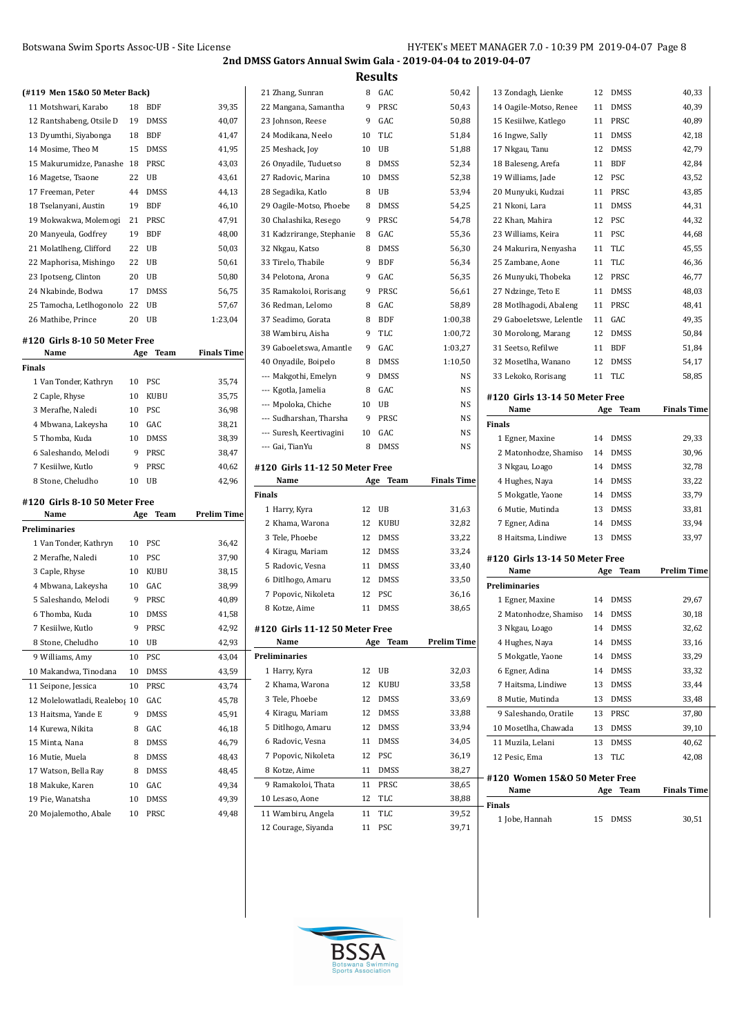|  |  | (#119 Men 15&0 50 Meter Back) |
|--|--|-------------------------------|

| 18 | BDF         | 39,35                         |
|----|-------------|-------------------------------|
| 19 | <b>DMSS</b> | 40,07                         |
| 18 | <b>BDF</b>  | 41,47                         |
| 15 | <b>DMSS</b> | 41,95                         |
| 18 | PRSC        | 43,03                         |
| 22 | UB          | 43,61                         |
| 44 | <b>DMSS</b> | 44,13                         |
| 19 | <b>BDF</b>  | 46,10                         |
| 21 | PRSC        | 47,91                         |
| 19 | BDF         | 48,00                         |
| 22 | UB          | 50,03                         |
| 22 | UB          | 50,61                         |
| 20 | UB          | 50,80                         |
| 17 | DMSS        | 56,75                         |
| 22 | UB          | 57,67                         |
| 20 | UB          | 1:23,04                       |
|    |             | (#119 Men 15&0 50 Meter Back) |

#### **#120 Girls 8-10 50 Meter Free**

| Name<br>Team<br>Age |             | <b>Finals Time</b> |
|---------------------|-------------|--------------------|
|                     |             |                    |
| 10                  | <b>PSC</b>  | 35,74              |
| 10                  | <b>KUBU</b> | 35,75              |
| 10                  | <b>PSC</b>  | 36.98              |
| 10                  | GAC.        | 38,21              |
| 10                  | <b>DMSS</b> | 38,39              |
| 9                   | <b>PRSC</b> | 38,47              |
| 9                   | <b>PRSC</b> | 40.62              |
| 10                  | ΠR          | 42.96              |
|                     |             |                    |

#### **#120 Girls 8-10 50 Meter Free**

| Name                          | Age | Team        | <b>Prelim Time</b> |
|-------------------------------|-----|-------------|--------------------|
| Preliminaries                 |     |             |                    |
| 1 Van Tonder, Kathryn         | 10  | PSC         | 36,42              |
| 2 Merafhe, Naledi             | 10  | PSC         | 37,90              |
| 3 Caple, Rhyse                | 10  | <b>KUBU</b> | 38,15              |
| 4 Mbwana, Lakeysha            | 10  | GAC         | 38,99              |
| 5 Saleshando, Melodi          | 9   | PRSC        | 40,89              |
| 6 Thomba, Kuda                | 10  | <b>DMSS</b> | 41,58              |
| 7 Kesiilwe, Kutlo             | 9   | PRSC        | 42,92              |
| 8 Stone, Cheludho             | 10  | UB          | 42,93              |
| 9 Williams, Amy               | 10  | <b>PSC</b>  | 43.04              |
| 10 Makandwa, Tinodana         | 10  | <b>DMSS</b> | 43,59              |
| 11 Seipone, Jessica           | 10  | <b>PRSC</b> | 43,74              |
| 12 Molelowatladi, Realebos 10 |     | GAC         | 45,78              |
| 13 Haitsma, Yande E           | 9   | <b>DMSS</b> | 45,91              |
| 14 Kurewa, Nikita             | 8   | GAC         | 46,18              |
| 15 Minta, Nana                | 8   | <b>DMSS</b> | 46,79              |
| 16 Mutie, Muela               | 8   | <b>DMSS</b> | 48.43              |
| 17 Watson, Bella Ray          | 8   | <b>DMSS</b> | 48,45              |
| 18 Makuke, Karen              | 10  | GAC.        | 49,34              |
| 19 Pie, Wanatsha              | 10  | <b>DMSS</b> | 49.39              |
| 20 Mojalemotho, Abale         | 10  | PRSC        | 49,48              |

| 21 Zhang, Sunran          | 8  | GAC         | 50,42     |
|---------------------------|----|-------------|-----------|
| 22 Mangana, Samantha      | 9  | PRSC        | 50,43     |
| 23 Johnson, Reese         | 9  | GAC         | 50,88     |
| 24 Modikana, Neelo        | 10 | <b>TLC</b>  | 51,84     |
| 25 Meshack, Joy           | 10 | UB          | 51,88     |
| 26 Onyadile, Tuduetso     | 8  | <b>DMSS</b> | 52,34     |
| 27 Radovic, Marina        | 10 | <b>DMSS</b> | 52,38     |
| 28 Segadika, Katlo        | 8  | UB          | 53,94     |
| 29 Oagile-Motso, Phoebe   | 8  | <b>DMSS</b> | 54,25     |
| 30 Chalashika, Resego     | 9  | PRSC        | 54,78     |
| 31 Kadzrirange, Stephanie | 8  | GAC         | 55,36     |
| 32 Nkgau, Katso           | 8  | DMSS        | 56,30     |
| 33 Tirelo, Thabile        | 9  | <b>BDF</b>  | 56,34     |
| 34 Pelotona, Arona        | 9  | GAC         | 56,35     |
| 35 Ramakoloi, Rorisang    | 9  | PRSC        | 56,61     |
| 36 Redman, Lelomo         | 8  | GAC         | 58,89     |
| 37 Seadimo, Gorata        | 8  | BDF         | 1:00,38   |
| 38 Wambiru, Aisha         | 9  | <b>TLC</b>  | 1:00,72   |
| 39 Gaboeletswa, Amantle   | 9  | GAC         | 1:03,27   |
| 40 Onyadile, Boipelo      | 8  | <b>DMSS</b> | 1:10,50   |
| --- Makgothi, Emelyn      | 9  | <b>DMSS</b> | NS        |
| --- Kgotla, Jamelia       | 8  | GAC         | NS        |
| --- Mpoloka, Chiche       | 10 | UB          | NS        |
| --- Sudharshan, Tharsha   | 9  | PRSC        | <b>NS</b> |
| --- Suresh, Keertivagini  | 10 | GAC         | <b>NS</b> |
| --- Gai, TianYu           | 8  | <b>DMSS</b> | NS        |
|                           |    |             |           |

#### **#120 Girls 11-12 50 Meter Free**

| Name                           | Age | Team        | <b>Finals Time</b> |
|--------------------------------|-----|-------------|--------------------|
| Finals                         |     |             |                    |
| 1 Harry, Kyra                  | 12  | UB          | 31,63              |
| 2 Khama, Warona                | 12  | <b>KUBU</b> | 32,82              |
| 3 Tele, Phoebe                 | 12  | <b>DMSS</b> | 33,22              |
| 4 Kiragu, Mariam               | 12  | <b>DMSS</b> | 33,24              |
| 5 Radovic, Vesna               | 11  | <b>DMSS</b> | 33,40              |
| 6 Ditlhogo, Amaru              | 12  | <b>DMSS</b> | 33,50              |
| 7 Popovic, Nikoleta            | 12  | PSC         | 36,16              |
| 8 Kotze, Aime                  | 11  | <b>DMSS</b> | 38,65              |
| #120 Girls 11-12 50 Meter Free |     |             |                    |
| Name                           | Age | Team        | <b>Prelim Time</b> |
| Preliminaries                  |     |             |                    |
| 1 Harry, Kyra                  | 12  | <b>UB</b>   | 32,03              |
| 2 Khama, Warona                | 12  | <b>KUBU</b> | 33,58              |
| 3 Tele, Phoebe                 | 12  | <b>DMSS</b> | 33,69              |
| 4 Kiragu, Mariam               | 12  | <b>DMSS</b> | 33,88              |
| 5 Ditlhogo, Amaru              | 12  | <b>DMSS</b> | 33,94              |
| 6 Radovic, Vesna               | 11  | <b>DMSS</b> | 34,05              |
| 7 Popovic, Nikoleta            | 12  | PSC         | 36,19              |
| 8 Kotze, Aime                  | 11  | <b>DMSS</b> | 38,27              |
| 9 Ramakoloi, Thata             | 11  | PRSC        | 38,65              |
| 10 Lesaso, Aone                | 12  | <b>TLC</b>  | 38,88              |
| 11 Wambiru, Angela             | 11  | <b>TLC</b>  | 39,52              |
| 12 Courage, Siyanda            | 11  | PSC         | 39,71              |
|                                |     |             |                    |

| 13 Zondagh, Lienke                                            | 12  | DMSS        | 40,33              |
|---------------------------------------------------------------|-----|-------------|--------------------|
| 14 Oagile-Motso, Renee                                        | 11  | DMSS        | 40,39              |
| 15 Kesiilwe, Katlego                                          | 11  | PRSC        | 40,89              |
| 16 Ingwe, Sally                                               | 11  | <b>DMSS</b> | 42,18              |
| 17 Nkgau, Tanu                                                | 12  | <b>DMSS</b> | 42,79              |
| 18 Baleseng, Arefa                                            | 11  | <b>BDF</b>  | 42,84              |
| 19 Williams, Jade                                             | 12  | <b>PSC</b>  | 43,52              |
| 20 Munyuki, Kudzai                                            | 11  | PRSC        | 43,85              |
| 21 Nkoni, Lara                                                | 11  | <b>DMSS</b> | 44,31              |
| 22 Khan, Mahira                                               | 12  | <b>PSC</b>  | 44,32              |
| 23 Williams, Keira                                            | 11  | PSC         | 44,68              |
| 24 Makurira, Nenyasha                                         | 11  | <b>TLC</b>  | 45,55              |
| 25 Zambane, Aone                                              | 11  | <b>TLC</b>  | 46,36              |
| 26 Munyuki, Thobeka                                           | 12  | PRSC        | 46,77              |
| 27 Ndzinge, Teto E                                            | 11  | DMSS        | 48,03              |
| 28 Motlhagodi, Abaleng                                        | 11  | PRSC        | 48,41              |
| 29 Gaboeletswe, Lelentle                                      | 11  | GAC         | 49,35              |
| 30 Morolong, Marang                                           | 12  | <b>DMSS</b> | 50,84              |
| 31 Seetso, Refilwe                                            | 11  | <b>BDF</b>  | 51,84              |
| 32 Mosetlha, Wanano                                           | 12  | DMSS        | 54,17              |
| 33 Lekoko, Rorisang                                           | 11  | TLC         | 58,85              |
| #120 Girls 13-14 50 Meter Free                                |     |             |                    |
| Name                                                          | Age | Team        | <b>Finals Time</b> |
| <b>Finals</b>                                                 |     |             |                    |
| 1 Egner, Maxine                                               | 14  | DMSS        | 29,33              |
| 2 Matonhodze, Shamiso                                         | 14  | DMSS        | 30,96              |
|                                                               |     |             |                    |
| 3 Nkgau, Loago                                                | 14  | <b>DMSS</b> | 32,78              |
| 4 Hughes, Naya                                                | 14  | <b>DMSS</b> | 33,22              |
| 5 Mokgatle, Yaone                                             | 14  | <b>DMSS</b> | 33,79              |
| 6 Mutie, Mutinda                                              | 13  | DMSS        | 33,81              |
| 7 Egner, Adina                                                | 14  | DMSS        | 33,94              |
| 8 Haitsma, Lindiwe                                            | 13  | <b>DMSS</b> | 33,97              |
|                                                               |     |             |                    |
| #120 Girls 13-14 50 Meter Free<br>Name                        | Age | Team        | <b>Prelim Time</b> |
| Preliminaries                                                 |     |             |                    |
| 1 Egner, Maxine                                               | 14  | DMSS        | 29,67              |
| 2 Matonhodze, Shamiso                                         | 14  | DMSS        | 30,18              |
| 3 Nkgau, Loago                                                | 14  | DMSS        | 32,62              |
| 4 Hughes, Naya                                                | 14  | DMSS        | 33,16              |
| 5 Mokgatle, Yaone                                             | 14  | DMSS        | 33,29              |
| 6 Egner, Adina                                                | 14  | DMSS        | 33,32              |
| 7 Haitsma, Lindiwe                                            | 13  | DMSS        | 33,44              |
| 8 Mutie, Mutinda                                              | 13  | <b>DMSS</b> | 33,48              |
| 9 Saleshando, Oratile                                         | 13  | PRSC        | 37,80              |
| 10 Mosetlha, Chawada                                          | 13  | DMSS        | 39,10              |
| 11 Muzila, Lelani                                             | 13  | DMSS        | 40,62              |
| 12 Pesic, Ema                                                 | 13  | TLC         | 42,08              |
|                                                               |     |             |                    |
|                                                               |     |             |                    |
| Name                                                          | Age | Team        | <b>Finals Time</b> |
| - #120 Women 15&0 50 Meter Free<br>- Finals<br>1 Jobe, Hannah | 15  | DMSS        | 30,51              |

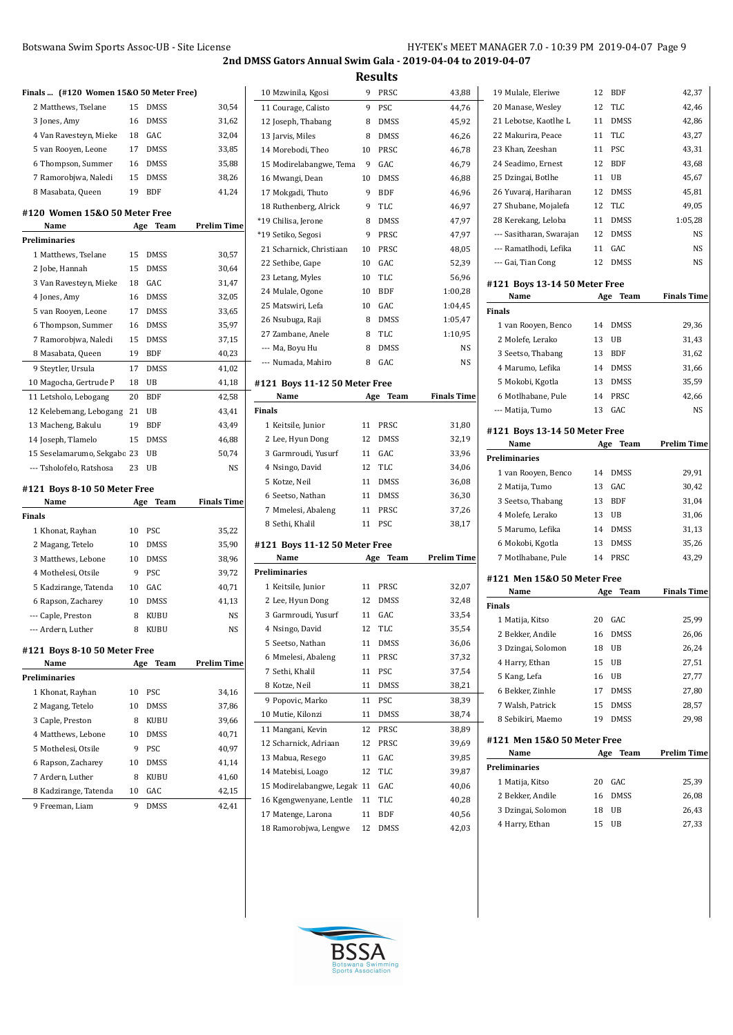**Results**

|                     | Finals  (#120 Women 15&0 50 Meter Free) |     |             |                    |
|---------------------|-----------------------------------------|-----|-------------|--------------------|
|                     | 2 Matthews, Tselane                     | 15  | DMSS        | 30,54              |
| 3 Jones, Amy        |                                         | 16  | <b>DMSS</b> | 31,62              |
|                     | 4 Van Ravesteyn, Mieke                  | 18  | GAC         | 32,04              |
|                     | 5 van Rooyen, Leone                     | 17  | <b>DMSS</b> | 33,85              |
|                     | 6 Thompson, Summer                      | 16  | <b>DMSS</b> | 35,88              |
|                     | 7 Ramorobjwa, Naledi                    | 15  | DMSS        | 38,26              |
| 8 Masabata, Queen   |                                         | 19  | BDF         | 41,24              |
|                     |                                         |     |             |                    |
| Name                | #120 Women 15&0 50 Meter Free           | Age | Team        | <b>Prelim Time</b> |
| Preliminaries       |                                         |     |             |                    |
|                     | 1 Matthews, Tselane                     | 15  | <b>DMSS</b> | 30,57              |
| 2 Jobe, Hannah      |                                         | 15  | DMSS        | 30,64              |
|                     | 3 Van Ravesteyn, Mieke                  | 18  | GAC         | 31,47              |
| 4 Jones, Amy        |                                         | 16  | <b>DMSS</b> | 32,05              |
|                     | 5 van Rooyen, Leone                     | 17  | <b>DMSS</b> | 33,65              |
|                     | 6 Thompson, Summer                      | 16  | <b>DMSS</b> | 35,97              |
|                     | 7 Ramorobjwa, Naledi                    | 15  | DMSS        | 37,15              |
| 8 Masabata, Queen   |                                         | 19  | <b>BDF</b>  | 40,23              |
| 9 Steytler, Ursula  |                                         | 17  | <b>DMSS</b> | 41,02              |
|                     | 10 Magocha, Gertrude P                  | 18  | UB          |                    |
|                     |                                         |     | <b>BDF</b>  | 41,18              |
|                     | 11 Letsholo, Lebogang                   | 20  |             | 42,58              |
|                     | 12 Kelebemang, Lebogang                 | 21  | UB          | 43,41              |
| 13 Macheng, Bakulu  |                                         | 19  | <b>BDF</b>  | 43,49              |
| 14 Joseph, Tlamelo  |                                         | 15  | DMSS        | 46,88              |
|                     | 15 Seselamarumo, Sekgabo 23             |     | UB          | 50,74              |
|                     | --- Tsholofelo, Ratshosa                | 23  | UB          | NS                 |
|                     | #121  Boys 8-10 50 Meter Free           |     |             |                    |
| Name                |                                         | Age | Team        | Finals Time        |
| Finals              |                                         |     |             |                    |
| 1 Khonat, Rayhan    |                                         | 10  | PSC         | 35,22              |
| 2 Magang, Tetelo    |                                         | 10  | DMSS        | 35,90              |
|                     | 3 Matthews, Lebone                      | 10  | <b>DMSS</b> | 38,96              |
| 4 Mothelesi, Otsile |                                         | 9   | <b>PSC</b>  | 39,72              |
|                     | 5 Kadzirange, Tatenda                   | 10  | GAC         | 40,71              |
| 6 Rapson, Zacharey  |                                         | 10  | <b>DMSS</b> | 41,13              |
| --- Caple, Preston  |                                         | 8   | <b>KUBU</b> | NS                 |
| --- Ardern, Luther  |                                         |     |             |                    |
|                     |                                         | 8   | <b>KUBU</b> | NS                 |
|                     |                                         |     |             |                    |
| Name                | #121 Boys 8-10 50 Meter Free            | Age | Team        | <b>Prelim Time</b> |
| Preliminaries       |                                         |     |             |                    |
| 1 Khonat, Rayhan    |                                         | 10  | PSC         | 34,16              |
| 2 Magang, Tetelo    |                                         | 10  | DMSS        | 37,86              |
| 3 Caple, Preston    |                                         | 8   | KUBU        | 39,66              |
|                     | 4 Matthews, Lebone                      | 10  | <b>DMSS</b> | 40,71              |
| 5 Mothelesi, Otsile |                                         | 9   | PSC         | 40,97              |
| 6 Rapson, Zacharey  |                                         | 10  | <b>DMSS</b> | 41,14              |
| 7 Ardern, Luther    |                                         | 8   | KUBU        | 41,60              |
|                     |                                         | 10  | GAC         | 42,15              |
| 9 Freeman, Liam     | 8 Kadzirange, Tatenda                   | 9   | DMSS        | 42,41              |

| 10 Mzwinila, Kgosi                          | 9        | PRSC        | 43,88              |
|---------------------------------------------|----------|-------------|--------------------|
| 11 Courage, Calisto                         | 9        | PSC         | 44,76              |
| 12 Joseph, Thabang                          | 8        | DMSS        | 45,92              |
| 13 Jarvis, Miles                            | 8        | DMSS        | 46,26              |
| 14 Morebodi, Theo                           | 10       | PRSC        | 46,78              |
| 15 Modirelabangwe, Tema                     | 9        | GAC         | 46,79              |
| 16 Mwangi, Dean                             | 10       | DMSS        | 46,88              |
| 17 Mokgadi, Thuto                           | 9        | <b>BDF</b>  | 46,96              |
| 18 Ruthenberg, Alrick                       | 9        | <b>TLC</b>  | 46,97              |
| *19 Chilisa, Jerone                         | 8        | DMSS        | 47,97              |
| *19 Setiko, Segosi                          | 9        | PRSC        | 47,97              |
| 21 Scharnick, Christiaan                    | 10       | PRSC        | 48,05              |
| 22 Sethibe, Gape                            | 10       | GAC         | 52,39              |
| 23 Letang, Myles                            | 10       | TLC         | 56,96              |
| 24 Mulale, Ogone                            | 10       | <b>BDF</b>  | 1:00,28            |
| 25 Matswiri, Lefa                           | 10       | GAC         | 1:04,45            |
| 26 Nsubuga, Raji                            | 8        | <b>DMSS</b> | 1:05,47            |
| 27 Zambane, Anele                           | 8        | <b>TLC</b>  | 1:10,95            |
| --- Ma, Boyu Hu                             | 8        | <b>DMSS</b> | NS                 |
| --- Numada, Mahiro                          | 8        | GAC         | NS                 |
|                                             |          |             |                    |
| #121 Boys 11-12 50 Meter Free<br>Name       | Age      | Team        | <b>Finals Time</b> |
| Finals                                      |          |             |                    |
| 1 Keitsile, Junior                          | 11       | PRSC        | 31,80              |
| 2 Lee, Hyun Dong                            | 12       | DMSS        | 32,19              |
| 3 Garmroudi, Yusurf                         | 11       | GAC         | 33,96              |
| 4 Nsingo, David                             | 12       | <b>TLC</b>  | 34,06              |
| 5 Kotze, Neil                               | 11       | <b>DMSS</b> | 36,08              |
| 6 Seetso, Nathan                            | 11       | <b>DMSS</b> | 36,30              |
| 7 Mmelesi, Abaleng                          | 11       | PRSC        | 37,26              |
| 8 Sethi, Khalil                             | 11       | <b>PSC</b>  | 38,17              |
|                                             |          |             |                    |
| #121 Boys 11-12 50 Meter Free               |          |             |                    |
| Name                                        | Age      | Team        | <b>Prelim Time</b> |
| Preliminaries                               | 11       | PRSC        |                    |
| 1 Keitsile, Junior                          | 12       | DMSS        | 32,07              |
| 2 Lee, Hyun Dong<br>3 Garmroudi, Yusurf     | 11       | GAC         | 32,48<br>33,54     |
| 4 Nsingo, David                             | 12       | TLC         | 35,54              |
| 5 Seetso, Nathan                            | 11       | DMSS        | 36,06              |
| 6 Mmelesi, Abaleng                          | 11       | PRSC        | 37,32              |
| 7 Sethi, Khalil                             | 11       | PSC         | 37,54              |
| 8 Kotze, Neil                               | 11       | DMSS        | 38,21              |
| 9 Popovic, Marko                            | 11       | PSC         |                    |
| 10 Mutie, Kilonzi                           | 11       | DMSS        | 38,39<br>38,74     |
|                                             |          |             |                    |
| 11 Mangani, Kevin                           |          |             |                    |
| 12 Scharnick, Adriaan                       | 12       | PRSC        | 38,89              |
| 13 Mabua, Resego                            | 12       | PRSC        | 39,69              |
|                                             | 11       | GAC         | 39,85              |
| 14 Matebisi, Loago                          | 12       | TLC         | 39,87              |
| 15 Modirelabangwe, Legak                    | 11       | GAC         | 40,06              |
| 16 Kgengwenyane, Lentle                     | 11       | TLC         | 40,28              |
| 17 Matenge, Larona<br>18 Ramorobjwa, Lengwe | 11<br>12 | BDF<br>DMSS | 40,56<br>42,03     |

| 19 Mulale, Eleriwe                   | 12       | BDF         | 42,37              |
|--------------------------------------|----------|-------------|--------------------|
| 20 Manase, Wesley                    | 12       | <b>TLC</b>  | 42,46              |
| 21 Lebotse, Kaotlhe L                | 11       | <b>DMSS</b> | 42,86              |
| 22 Makurira, Peace                   | 11       | <b>TLC</b>  | 43,27              |
| 23 Khan, Zeeshan                     | 11       | PSC         | 43,31              |
| 24 Seadimo, Ernest                   | 12       | <b>BDF</b>  | 43,68              |
| 25 Dzingai, Botlhe                   | 11       | UB          | 45,67              |
| 26 Yuvaraj, Hariharan                | 12       | <b>DMSS</b> | 45,81              |
| 27 Shubane, Mojalefa                 | 12       | <b>TLC</b>  | 49,05              |
| 28 Kerekang, Leloba                  | 11       | <b>DMSS</b> | 1:05,28            |
| --- Sasitharan, Swarajan             | 12       | <b>DMSS</b> | NS                 |
| --- Ramatlhodi, Lefika               | 11       | GAC         | NS                 |
| --- Gai, Tian Cong                   | 12       | <b>DMSS</b> | NS                 |
| #121 Boys 13-14 50 Meter Free        |          |             |                    |
| Name                                 | Age      | Team        | <b>Finals Time</b> |
| <b>Finals</b>                        |          |             |                    |
| 1 van Rooyen, Benco                  | 14       | <b>DMSS</b> | 29,36              |
| 2 Molefe, Lerako                     | 13       | UB          | 31,43              |
| 3 Seetso, Thabang                    | 13       | <b>BDF</b>  | 31,62              |
| 4 Marumo, Lefika                     | 14       | <b>DMSS</b> | 31,66              |
| 5 Mokobi, Kgotla                     | 13       | <b>DMSS</b> | 35,59              |
| 6 Motlhabane, Pule                   | 14       | PRSC        | 42,66              |
| --- Matija, Tumo                     | 13       | GAC         | NS                 |
| #121 Boys 13-14 50 Meter Free        |          |             |                    |
| Name                                 | Age      | Team        | <b>Prelim Time</b> |
| <b>Preliminaries</b>                 |          |             |                    |
|                                      |          |             |                    |
| 1 van Rooyen, Benco                  | 14       | <b>DMSS</b> | 29,91              |
| 2 Matija, Tumo                       | 13       | GAC         | 30,42              |
| 3 Seetso, Thabang                    | 13       | <b>BDF</b>  | 31,04              |
| 4 Molefe, Lerako                     | 13       | UB          | 31,06              |
| 5 Marumo, Lefika                     | 14       | <b>DMSS</b> | 31,13              |
| 6 Mokobi, Kgotla                     | 13       | <b>DMSS</b> | 35,26              |
| 7 Motlhabane, Pule                   | 14       | PRSC        | 43,29              |
| #121 Men 15&0 50 Meter Free          |          |             |                    |
| Name                                 | Age      | Team        | <b>Finals Time</b> |
| <b>Finals</b>                        |          |             |                    |
| 1 Matija, Kitso                      | 20       | GAC         | 25,99              |
| 2 Bekker, Andile                     | 16       | DMSS        | 26,06              |
| 3 Dzingai, Solomon                   | 18       | UB          | 26,24              |
| 4 Harry, Ethan                       | 15       | UB          | 27,51              |
| 5 Kang, Lefa                         | 16       | UB          | 27,77              |
| 6 Bekker, Zinhle                     | 17       | DMSS        | 27,80              |
| 7 Walsh, Patrick                     | 15       | DMSS        | 28,57              |
| 8 Sebikiri, Maemo                    | 19       | DMSS        | 29,98              |
| #121 Men 15&0 50 Meter Free          |          |             |                    |
| Name                                 | Age      | <b>Team</b> | Prelim Time        |
| Preliminaries                        |          |             |                    |
| 1 Matija, Kitso                      | 20       | GAC         | 25,39              |
| 2 Bekker, Andile                     | 16       | DMSS        | 26,08              |
| 3 Dzingai, Solomon<br>4 Harry, Ethan | 18<br>15 | UB<br>UB    | 26,43<br>27,33     |

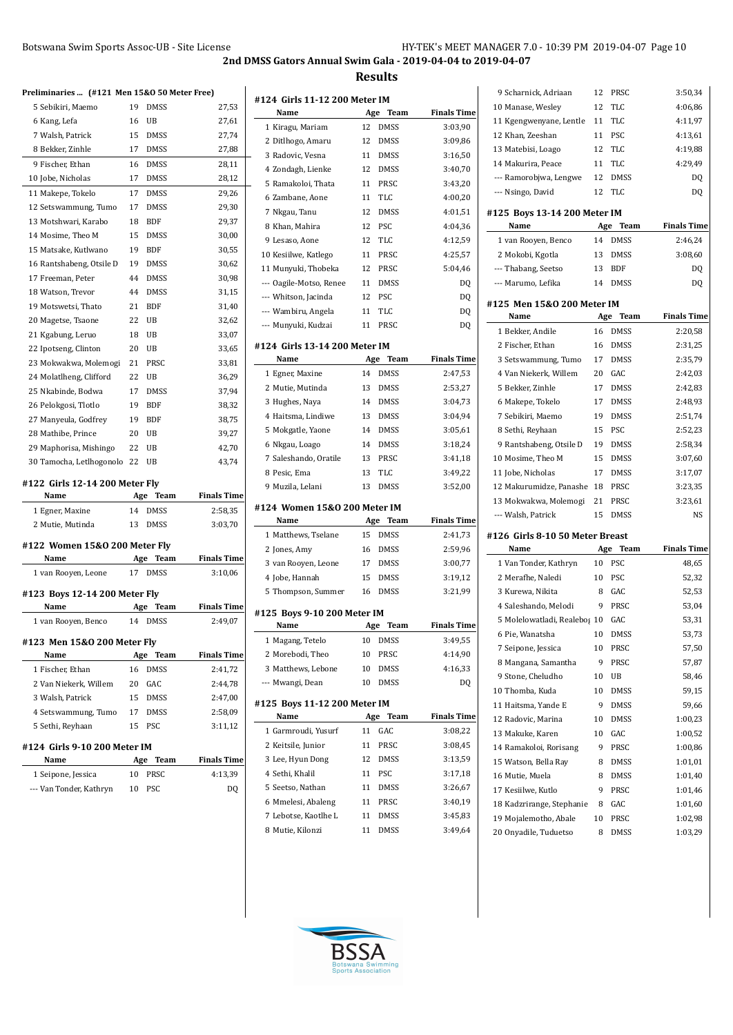| Botswana Swim Sports Assoc-UB - Site License                | HY-TEK's MEET MANAGER 7.0 - 10:39 PM 2019-04-07 Page 10 |
|-------------------------------------------------------------|---------------------------------------------------------|
| 2nd DMSS Gators Annual Swim Gala - 2019-04-04 to 2019-04-07 |                                                         |

**Results**

| Preliminaries  (#121 Men 15&0 50 Meter Free) |           |                     |                        |
|----------------------------------------------|-----------|---------------------|------------------------|
| 5 Sebikiri, Maemo                            | 19        | <b>DMSS</b>         | 27,53                  |
| 6 Kang, Lefa                                 | 16        | UB                  | 27,61                  |
| 7 Walsh, Patrick                             | 15        | <b>DMSS</b>         | 27,74                  |
| 8 Bekker, Zinhle                             | 17        | <b>DMSS</b>         | 27,88                  |
| 9 Fischer, Ethan                             | 16        | <b>DMSS</b>         | 28,11                  |
| 10 Jobe, Nicholas                            | 17        | <b>DMSS</b>         | 28,12                  |
| 11 Makepe, Tokelo                            | 17        | <b>DMSS</b>         | 29,26                  |
| 12 Setswammung, Tumo                         | 17        | <b>DMSS</b>         | 29,30                  |
| 13 Motshwari, Karabo                         | 18        | <b>BDF</b>          | 29,37                  |
| 14 Mosime, Theo M                            | 15        | DMSS                | 30,00                  |
| 15 Matsake, Kutlwano                         | 19        | BDF                 | 30,55                  |
| 16 Rantshabeng, Otsile D                     | 19        | <b>DMSS</b>         | 30,62                  |
| 17 Freeman, Peter                            | 44        | <b>DMSS</b>         | 30,98                  |
| 18 Watson, Trevor                            | 44        | <b>DMSS</b>         | 31,15                  |
| 19 Motswetsi, Thato                          | 21        | <b>BDF</b>          | 31,40                  |
| 20 Magetse, Tsaone                           | 22        | UB                  | 32,62                  |
| 21 Kgabung, Leruo                            | 18        | UB                  | 33,07                  |
| 22 Ipotseng, Clinton                         | 20        | UB                  | 33,65                  |
| 23 Mokwakwa, Molemogi                        | 21        | PRSC                | 33,81                  |
| 24 Molatlheng, Clifford                      | 22        | UB                  | 36,29                  |
| 25 Nkabinde, Bodwa                           | 17        | <b>DMSS</b>         | 37,94                  |
| 26 Pelokgosi, Tlotlo                         | 19        | BDF                 | 38,32                  |
| 27 Manyeula, Godfrey                         | 19        | BDF                 | 38,75                  |
| 28 Mathibe, Prince                           | 20        | UB                  | 39,27                  |
| 29 Maphorisa, Mishingo                       | 22        | UB                  | 42,70                  |
| 30 Tamocha, Letlhogonolo                     | 22        | UB                  | 43,74                  |
| #122  Girls 12-14 200 Meter Fly              |           |                     |                        |
| Name                                         |           | Age<br>Team         | Finals Time            |
| 1 Egner, Maxine                              | 14        | <b>DMSS</b>         | 2:58,35                |
| 2 Mutie, Mutinda                             | 13        | <b>DMSS</b>         | 3:03,70                |
|                                              |           |                     |                        |
| #122 Women 15&0 200 Meter Fly<br>Name        |           |                     |                        |
|                                              | Age<br>17 | Team<br><b>DMSS</b> | Finals Time<br>3:10.06 |
| 1 van Rooyen, Leone                          |           |                     |                        |
| #123 Boys 12-14 200 Meter Fly                |           |                     |                        |
| Name                                         | Age       | Team                | <b>Finals Time</b>     |
| 1 van Rooyen, Benco                          | 14        | <b>DMSS</b>         | 2:49,07                |
| #123 Men 15&0 200 Meter Fly                  |           |                     |                        |
| Name                                         | Age       | <b>Team</b>         | <b>Finals Time</b>     |
| 1 Fischer, Ethan                             | 16        | <b>DMSS</b>         | 2:41,72                |
| 2 Van Niekerk, Willem                        | 20        | GAC                 | 2:44,78                |
| 3 Walsh, Patrick                             | 15        | <b>DMSS</b>         | 2:47,00                |
| 4 Setswammung, Tumo                          | 17        | <b>DMSS</b>         | 2:58,09                |
| 5 Sethi, Reyhaan                             | 15        | PSC                 | 3:11,12                |
|                                              |           |                     |                        |
| #124  Girls 9-10 200 Meter IM<br>Name        |           |                     | <b>Finals Time</b>     |
|                                              | Age<br>10 | Team<br>PRSC        |                        |
| 1 Seipone, Jessica                           |           |                     | 4:13,39                |
| --- Van Tonder, Kathryn                      | 10        | PSC                 | DQ                     |
|                                              |           |                     |                        |

| #124 Girls 11-12 200 Meter IM<br>Name |          |             |                    |
|---------------------------------------|----------|-------------|--------------------|
|                                       | Age      | Team        | <b>Finals Time</b> |
| 1 Kiragu, Mariam                      | 12       | <b>DMSS</b> | 3:03,90            |
| 2 Ditlhogo, Amaru                     | 12       | <b>DMSS</b> | 3:09,86            |
| 3 Radovic, Vesna                      | 11       | <b>DMSS</b> | 3:16,50            |
| 4 Zondagh, Lienke                     | 12       | <b>DMSS</b> | 3:40,70            |
| 5 Ramakoloi, Thata                    | 11       | PRSC        | 3:43,20            |
| 6 Zambane, Aone                       | 11       | TLC         | 4:00,20            |
| 7 Nkgau, Tanu                         | 12       | <b>DMSS</b> | 4:01,51            |
| 8 Khan, Mahira                        | 12       | PSC         | 4:04,36            |
| 9 Lesaso, Aone                        | 12       | <b>TLC</b>  | 4:12,59            |
| 10 Kesiilwe, Katlego                  | 11       | PRSC        | 4:25,57            |
| 11 Munyuki, Thobeka                   | 12       | PRSC        | 5:04,46            |
| --- Oagile-Motso, Renee               | 11       | <b>DMSS</b> | DQ                 |
| --- Whitson, Jacinda                  | 12       | <b>PSC</b>  | DQ                 |
| --- Wambiru, Angela                   | 11       | TLC         | DQ                 |
| --- Munyuki, Kudzai                   | 11       | PRSC        | DQ                 |
| #124 Girls 13-14 200 Meter IM<br>Name |          | Age Team    | <b>Finals Time</b> |
|                                       | 14       | <b>DMSS</b> | 2:47,53            |
| 1 Egner, Maxine                       |          |             |                    |
| 2 Mutie, Mutinda                      | 13<br>14 | <b>DMSS</b> | 2:53,27            |
| 3 Hughes, Naya                        |          | <b>DMSS</b> | 3:04,73            |
| 4 Haitsma, Lindiwe                    | 13       | <b>DMSS</b> | 3:04,94            |
| 5 Mokgatle, Yaone                     | 14       | <b>DMSS</b> | 3:05,61            |
| 6 Nkgau, Loago                        | 14       | <b>DMSS</b> | 3:18,24            |
| 7 Saleshando, Oratile                 | 13       | PRSC        | 3:41,18            |
| 8 Pesic, Ema                          | 13       | TLC         | 3:49,22            |
| 9 Muzila, Lelani                      | 13       | <b>DMSS</b> | 3:52,00            |
| #124 Women 15&0 200 Meter IM<br>Name  |          | Team        | <b>Finals Time</b> |
|                                       | 15       | Age         |                    |
| 1 Matthews, Tselane                   |          | <b>DMSS</b> | 2:41,73            |
| 2 Jones, Amy                          | 16       | <b>DMSS</b> | 2:59,96            |
| 3 van Rooyen, Leone                   | 17       | <b>DMSS</b> | 3:00,77            |
| 4 Jobe, Hannah                        | 15       | <b>DMSS</b> | 3:19,12            |
| 5 Thompson, Summer                    | 16       | <b>DMSS</b> | 3:21,99            |
| #125 Boys 9-10 200 Meter IM           |          |             |                    |
| Name                                  | Age      | Team        | <b>Finals Time</b> |
| 1 Magang, Tetelo                      | 10       | DMSS        | 3:49,55            |
| 2 Morebodi, Theo                      | 10       | PRSC        | 4:14,90            |
| 3 Matthews, Lebone                    | 10       | DMSS        | 4:16,33            |
| --- Mwangi, Dean                      | 10       | <b>DMSS</b> | DQ                 |
| #125 Boys 11-12 200 Meter IM<br>Name  | Age      | Team        | <b>Finals Time</b> |
|                                       |          |             |                    |
| 1 Garmroudi, Yusurf                   | 11<br>11 | GAC<br>PRSC | 3:08,22            |
| 2 Keitsile, Junior                    |          |             | 3:08,45            |
| 3 Lee, Hyun Dong                      | 12       | <b>DMSS</b> | 3:13,59            |
| 4 Sethi, Khalil                       | 11       | PSC         | 3:17,18            |
| 5 Seetso, Nathan                      | 11       | DMSS        | 3:26,67            |
| 6 Mmelesi, Abaleng                    | 11       | PRSC        | 3:40,19            |
| 7 Lebotse, Kaotlhe L                  | 11       | DMSS        | 3:45,83            |
| 8 Mutie, Kilonzi                      | 11       | DMSS        | 3:49,64            |

| 9 Scharnick, Adriaan            | 12  | PRSC        | 3:50,34            |
|---------------------------------|-----|-------------|--------------------|
| 10 Manase, Wesley               | 12  | TLC         | 4:06,86            |
| 11 Kgengwenyane, Lentle         | 11  | TLC         | 4:11,97            |
| 12 Khan, Zeeshan                | 11  | <b>PSC</b>  | 4:13,61            |
| 13 Matebisi, Loago              | 12  | <b>TLC</b>  | 4:19,88            |
| 14 Makurira, Peace              | 11  | <b>TLC</b>  | 4:29,49            |
| --- Ramorobjwa, Lengwe          | 12  | <b>DMSS</b> | DQ                 |
| --- Nsingo, David               | 12  | <b>TLC</b>  | DQ                 |
| #125 Boys 13-14 200 Meter IM    |     |             |                    |
| Name                            | Age | Team        | <b>Finals Time</b> |
| 1 van Rooyen, Benco             | 14  | <b>DMSS</b> | 2:46,24            |
| 2 Mokobi, Kgotla                | 13  | <b>DMSS</b> | 3:08,60            |
| --- Thabang, Seetso             | 13  | <b>BDF</b>  | DQ                 |
| --- Marumo, Lefika              | 14  | <b>DMSS</b> | DQ                 |
| #125 Men 15&0 200 Meter IM      |     |             |                    |
| Name                            |     | Age Team    | <b>Finals Time</b> |
| 1 Bekker, Andile                | 16  | <b>DMSS</b> | 2:20,58            |
| 2 Fischer, Ethan                | 16  | <b>DMSS</b> | 2:31,25            |
| 3 Setswammung, Tumo             | 17  | <b>DMSS</b> | 2:35,79            |
| 4 Van Niekerk, Willem           | 20  | GAC         | 2:42,03            |
| 5 Bekker, Zinhle                | 17  | <b>DMSS</b> | 2:42,83            |
| 6 Makepe, Tokelo                | 17  | <b>DMSS</b> | 2:48,93            |
| 7 Sebikiri, Maemo               | 19  | <b>DMSS</b> | 2:51,74            |
| 8 Sethi, Reyhaan                | 15  | <b>PSC</b>  | 2:52,23            |
| 9 Rantshabeng, Otsile D         | 19  | <b>DMSS</b> | 2:58,34            |
| 10 Mosime, Theo M               | 15  | <b>DMSS</b> | 3:07,60            |
| 11 Jobe, Nicholas               | 17  | <b>DMSS</b> | 3:17,07            |
| 12 Makurumidze, Panashe 18      |     | PRSC        | 3:23,35            |
| 13 Mokwakwa, Molemogi           | 21  | PRSC        | 3:23,61            |
| --- Walsh, Patrick              | 15  | <b>DMSS</b> | NS                 |
| #126 Girls 8-10 50 Meter Breast |     |             |                    |
| Name                            | Age | Team        | <b>Finals Time</b> |
| 1 Van Tonder, Kathryn           | 10  | <b>PSC</b>  | 48,65              |
| 2 Merafhe, Naledi               | 10  | PSC         | 52,32              |
| 3 Kurewa, Nikita                | 8   | GAC         | 52,53              |
| 4 Saleshando, Melodi            | 9   | PRSC        | 53,04              |
| 5 Molelowatladi, Realebos 10    |     | GAC         | 53,31              |
| 6 Pie, Wanatsha                 | 10  | <b>DMSS</b> | 53,73              |
| 7 Seipone, Jessica              | 10  | PRSC        | 57,50              |
| 8 Mangana, Samantha             | 9   | PRSC        | 57,87              |
| 9 Stone, Cheludho               | 10  | UB          | 58,46              |
| 10 Thomba, Kuda                 | 10  | DMSS        | 59,15              |
| 11 Haitsma, Yande E             | 9   | <b>DMSS</b> | 59,66              |
| 12 Radovic, Marina              | 10  | DMSS        | 1:00,23            |
| 13 Makuke, Karen                | 10  | GAC         | 1:00,52            |
| 14 Ramakoloi, Rorisang          | 9   | PRSC        | 1:00,86            |
| 15 Watson, Bella Ray            | 8   | DMSS        | 1:01,01            |
| 16 Mutie, Muela                 | 8   | DMSS        | 1:01,40            |
| 17 Kesiilwe, Kutlo              | 9   | PRSC        | 1:01,46            |
| 18 Kadzrirange, Stephanie       | 8   | GAC         | 1:01,60            |
| 19 Mojalemotho, Abale           | 10  | PRSC        | 1:02,98            |
| 20 Onyadile, Tuduetso           | 8   | DMSS        | 1:03,29            |

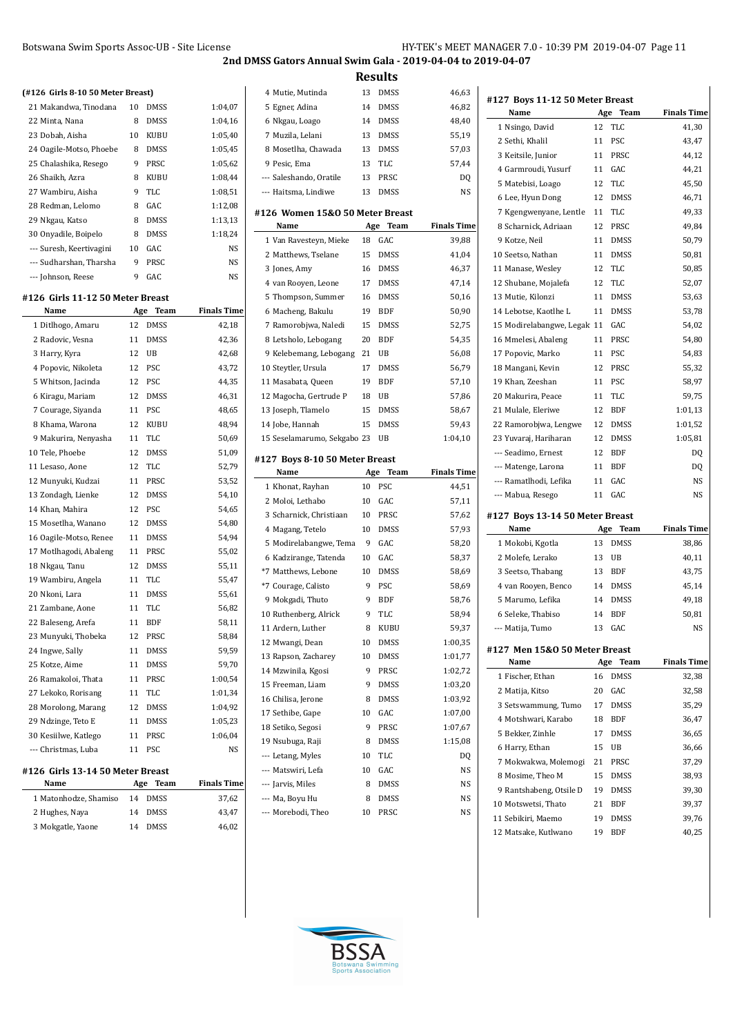| (#126 Girls 8-10 50 Meter Breast) |     |             |                    |
|-----------------------------------|-----|-------------|--------------------|
| 21 Makandwa, Tinodana             | 10  | <b>DMSS</b> | 1:04,07            |
| 22 Minta, Nana                    | 8   | <b>DMSS</b> | 1:04,16            |
| 23 Dobah, Aisha                   | 10  | KUBU        | 1:05,40            |
| 24 Oagile-Motso, Phoebe           | 8   | <b>DMSS</b> | 1:05,45            |
| 25 Chalashika, Resego             | 9   | PRSC        | 1:05,62            |
| 26 Shaikh, Azra                   | 8   | KUBU        | 1:08,44            |
| 27 Wambiru, Aisha                 | 9   | TLC         | 1:08,51            |
| 28 Redman, Lelomo                 | 8   | GAC         | 1:12,08            |
| 29 Nkgau, Katso                   | 8   | <b>DMSS</b> | 1:13,13            |
| 30 Onyadile, Boipelo              | 8   | <b>DMSS</b> | 1:18,24            |
| --- Suresh, Keertivagini          | 10  | GAC         | NS                 |
| --- Sudharshan, Tharsha           | 9   | PRSC        | NS                 |
| --- Johnson, Reese                | 9   | GAC         | NS                 |
| #126  Girls 11-12 50 Meter Breast |     |             |                    |
| Name                              | Age | Team        | <b>Finals Time</b> |
| 1 Ditlhogo, Amaru                 | 12  | <b>DMSS</b> | 42,18              |
| 2 Radovic, Vesna                  | 11  | <b>DMSS</b> | 42,36              |
| 3 Harry, Kyra                     | 12  | UB          | 42,68              |
| 4 Popovic, Nikoleta               | 12  | PSC         | 43,72              |
| 5 Whitson, Jacinda                | 12  | PSC         | 44,35              |
| 6 Kiragu, Mariam                  | 12  | <b>DMSS</b> | 46,31              |
| 7 Courage, Siyanda                | 11  | PSC         | 48,65              |
| 8 Khama, Warona                   | 12  | <b>KUBU</b> | 48,94              |
| 9 Makurira, Nenyasha              | 11  | <b>TLC</b>  | 50,69              |
| 10 Tele, Phoebe                   | 12  | <b>DMSS</b> | 51,09              |
| 11 Lesaso, Aone                   | 12  | TLC         | 52,79              |
| 12 Munyuki, Kudzai                | 11  | PRSC        | 53,52              |
| 13 Zondagh, Lienke                | 12  | <b>DMSS</b> | 54,10              |
| 14 Khan, Mahira                   | 12  | PSC         | 54,65              |
| 15 Mosetlha, Wanano               | 12  | <b>DMSS</b> | 54,80              |
| 16 Oagile-Motso, Renee            | 11  | DMSS        | 54,94              |
| 17 Motlhagodi, Abaleng            | 11  | PRSC        | 55,02              |
| 18 Nkgau, Tanu                    | 12  | <b>DMSS</b> | 55,11              |
| 19 Wambiru, Angela                | 11  | TLC         | 55,47              |
| 20 Nkoni, Lara                    | 11  | <b>DMSS</b> | 55,61              |
| 21 Zambane, Aone                  | 11  | <b>TLC</b>  | 56,82              |
| 22 Baleseng, Arefa                | 11  | <b>BDF</b>  | 58,11              |
| 23 Munyuki, Thobeka               | 12  | PRSC        | 58,84              |
| 24 Ingwe, Sally                   | 11  | DMSS        | 59,59              |
| 25 Kotze, Aime                    | 11  | DMSS        | 59,70              |
| 26 Ramakoloi, Thata               | 11  | PRSC        | 1:00,54            |
| 27 Lekoko, Rorisang               | 11  | TLC         | 1:01,34            |
| 28 Morolong, Marang               | 12  | DMSS        | 1:04,92            |
| 29 Ndzinge, Teto E                | 11  | DMSS        | 1:05,23            |
| 30 Kesiilwe, Katlego              | 11  | PRSC        | 1:06,04            |
| --- Christmas, Luba               | 11  | PSC         | NS                 |
| #126 Girls 13-14 50 Meter Breast  |     |             |                    |
| Name                              |     | Age Team    | <b>Finals Time</b> |

| Name                  | Age Team          | <b>Finals Time</b> |
|-----------------------|-------------------|--------------------|
| 1 Matonhodze, Shamiso | 14 DMSS           | 37,62              |
| 2 Hughes, Naya        | 14 DMSS           | 43.47              |
| 3 Mokgatle, Yaone     | <b>DMSS</b><br>14 | 46,02              |
|                       |                   |                    |

|                                        |     | Results     |                    |
|----------------------------------------|-----|-------------|--------------------|
| 4 Mutie, Mutinda                       | 13  | <b>DMSS</b> | 46,63              |
| 5 Egner, Adina                         | 14  | <b>DMSS</b> | 46,82              |
| 6 Nkgau, Loago                         | 14  | <b>DMSS</b> | 48,40              |
| 7 Muzila, Lelani                       | 13  | <b>DMSS</b> | 55,19              |
| 8 Mosetlha, Chawada                    | 13  | <b>DMSS</b> | 57,03              |
| 9 Pesic, Ema                           | 13  | TLC         | 57,44              |
| --- Saleshando, Oratile                | 13  | PRSC        | DQ                 |
| --- Haitsma, Lindiwe                   | 13  | <b>DMSS</b> | NS                 |
| #126 Women 15&0 50 Meter Breast        |     |             |                    |
| Name                                   | Age | Team        | <b>Finals Time</b> |
| 1 Van Ravesteyn, Mieke                 | 18  | GAC         | 39,88              |
| 2 Matthews, Tselane                    | 15  | <b>DMSS</b> | 41,04              |
| 3 Jones, Amy                           | 16  | DMSS        | 46,37              |
| 4 van Rooyen, Leone                    | 17  | <b>DMSS</b> | 47,14              |
| 5 Thompson, Summer                     | 16  | <b>DMSS</b> | 50,16              |
| 6 Macheng, Bakulu                      | 19  | <b>BDF</b>  | 50,90              |
| 7 Ramorobjwa, Naledi                   | 15  | <b>DMSS</b> | 52,75              |
| 8 Letsholo, Lebogang                   | 20  | BDF         | 54,35              |
| 9 Kelebemang, Lebogang                 | 21  | UB          | 56,08              |
| 10 Steytler, Ursula                    | 17  | DMSS        | 56,79              |
| 11 Masabata, Queen                     | 19  | BDF         | 57,10              |
| 12 Magocha, Gertrude P                 | 18  | UB          | 57,86              |
| 13 Joseph, Tlamelo                     | 15  | <b>DMSS</b> | 58,67              |
| 14 Jobe, Hannah                        | 15  | <b>DMSS</b> | 59,43              |
| 15 Seselamarumo, Sekgabo 23            |     | UB          | 1:04,10            |
|                                        |     |             |                    |
|                                        |     |             |                    |
| #127 Boys 8-10 50 Meter Breast<br>Name | Age | Team        | <b>Finals Time</b> |
| 1 Khonat, Rayhan                       | 10  | <b>PSC</b>  | 44,51              |
| 2 Moloi, Lethabo                       | 10  | GAC         | 57,11              |
| 3 Scharnick, Christiaan                | 10  | PRSC        | 57,62              |
| 4 Magang, Tetelo                       | 10  | <b>DMSS</b> | 57,93              |
| 5 Modirelabangwe, Tema                 | 9   | GAC         | 58,20              |
| 6 Kadzirange, Tatenda                  | 10  | GAC         | 58,37              |
| *7 Matthews, Lebone                    | 10  | <b>DMSS</b> | 58,69              |
| *7 Courage, Calisto                    | 9   | PSC         | 58,69              |
| 9 Mokgadi, Thuto                       | 9   | BDF         | 58,76              |
| 10 Ruthenberg, Alrick                  | 9   | TLC         | 58,94              |
| 11 Ardern, Luther                      | 8   | KUBU        | 59,37              |
| 12 Mwangi, Dean                        | 10  | DMSS        | 1:00,35            |
| 13 Rapson, Zacharey                    | 10  | DMSS        | 1:01,77            |
| 14 Mzwinila, Kgosi                     | 9   | PRSC        | 1:02,72            |
| 15 Freeman, Liam                       | 9   | DMSS        | 1:03,20            |
| 16 Chilisa, Jerone                     | 8   | DMSS        | 1:03,92            |
| 17 Sethibe, Gape                       | 10  | GAC         | 1:07,00            |
| 18 Setiko, Segosi                      | 9   | PRSC        | 1:07,67            |
| 19 Nsubuga, Raji                       | 8   | DMSS        | 1:15,08            |
| --- Letang, Myles                      | 10  | TLC         | DQ                 |
| --- Matswiri, Lefa                     | 10  | GAC         | NS                 |
| --- Jarvis, Miles                      | 8   | DMSS        | NS                 |
| --- Ma, Boyu Hu                        | 8   | DMSS        | NS                 |

| #127 Boys 11-12 50 Meter Breast            |           |             |                    |
|--------------------------------------------|-----------|-------------|--------------------|
| Name                                       | Age       | <b>Team</b> | <b>Finals Time</b> |
| 1 Nsingo, David                            | 12        | TLC         | 41,30              |
| 2 Sethi, Khalil                            | 11        | PSC         | 43,47              |
| 3 Keitsile, Junior                         | 11        | PRSC        | 44,12              |
| 4 Garmroudi, Yusurf                        | 11        | GAC         | 44,21              |
| 5 Matebisi, Loago                          | 12        | TLC         | 45,50              |
| 6 Lee, Hyun Dong                           | 12        | <b>DMSS</b> | 46,71              |
| 7 Kgengwenyane, Lentle                     | 11        | TLC         | 49,33              |
| 8 Scharnick, Adriaan                       | 12        | PRSC        | 49,84              |
| 9 Kotze, Neil                              | 11        | <b>DMSS</b> | 50,79              |
| 10 Seetso, Nathan                          | 11        | <b>DMSS</b> | 50,81              |
| 11 Manase, Wesley                          | 12        | TLC         | 50,85              |
| 12 Shubane, Mojalefa                       | 12        | TLC         | 52,07              |
| 13 Mutie, Kilonzi                          | 11        | <b>DMSS</b> | 53,63              |
| 14 Lebotse, Kaotlhe L                      | 11        | <b>DMSS</b> | 53,78              |
| 15 Modirelabangwe, Legak 11                |           | GAC         | 54,02              |
| 16 Mmelesi, Abaleng                        | 11        | PRSC        | 54,80              |
| 17 Popovic, Marko                          | 11        | PSC         | 54,83              |
| 18 Mangani, Kevin                          | 12        | PRSC        | 55,32              |
| 19 Khan, Zeeshan                           | 11        | <b>PSC</b>  | 58,97              |
| 20 Makurira, Peace                         | 11        | TLC         | 59,75              |
| 21 Mulale, Eleriwe                         | 12        | <b>BDF</b>  | 1:01,13            |
| 22 Ramorobjwa, Lengwe                      | 12        | DMSS        | 1:01,52            |
| 23 Yuvaraj, Hariharan                      | 12        | <b>DMSS</b> | 1:05,81            |
| --- Seadimo, Ernest                        | 12        | <b>BDF</b>  | DQ                 |
| --- Matenge, Larona                        | 11        | <b>BDF</b>  | DQ                 |
| --- Ramatlhodi, Lefika                     | 11        | GAC         | NS                 |
| --- Mabua, Resego                          | 11        | GAC         | NS                 |
| #127 Boys 13-14 50 Meter Breast            |           |             |                    |
| Name                                       | Age       | Team        | <b>Finals Time</b> |
| 1 Mokobi, Kgotla                           | 13        | <b>DMSS</b> | 38,86              |
| 2 Molefe, Lerako                           | 13        | UB          | 40,11              |
| 3 Seetso, Thabang                          | 13        | BDF         | 43,75              |
| 4 van Rooyen, Benco                        | 14        | <b>DMSS</b> | 45,14              |
| 5 Marumo, Lefika                           | 14        | <b>DMSS</b> | 49,18              |
| 6 Seleke, Thabiso                          | 14        | <b>BDF</b>  | 50,81              |
| --- Matija, Tumo                           | 13        | GAC         | <b>NS</b>          |
|                                            |           |             |                    |
| #127 Men 15&0 50 Meter Breast<br>Name      |           | Team        | <b>Finals Time</b> |
|                                            | Age<br>16 | DMSS        |                    |
| 1 Fischer, Ethan                           | 20        | GAC         | 32,38<br>32,58     |
| 2 Matija, Kitso                            |           |             |                    |
| 3 Setswammung, Tumo                        | 17        | DMSS        | 35,29              |
| 4 Motshwari, Karabo                        | 18        | BDF         | 36,47              |
| 5 Bekker, Zinhle                           | 17        | <b>DMSS</b> | 36,65              |
| 6 Harry, Ethan                             | 15        | UB          | 36,66              |
| 7 Mokwakwa, Molemogi                       | 21        | PRSC        | 37,29              |
| 8 Mosime, Theo M                           | 15        | <b>DMSS</b> | 38,93              |
| 9 Rantshabeng, Otsile D                    | 19        | <b>DMSS</b> | 39,30              |
| 10 Motswetsi, Thato                        | 21        | BDF         | 39,37              |
| 11 Sebikiri, Maemo<br>12 Matsake, Kutlwano | 19        | DMSS        | 39,76              |
|                                            | 19        | BDF         | 40,25              |

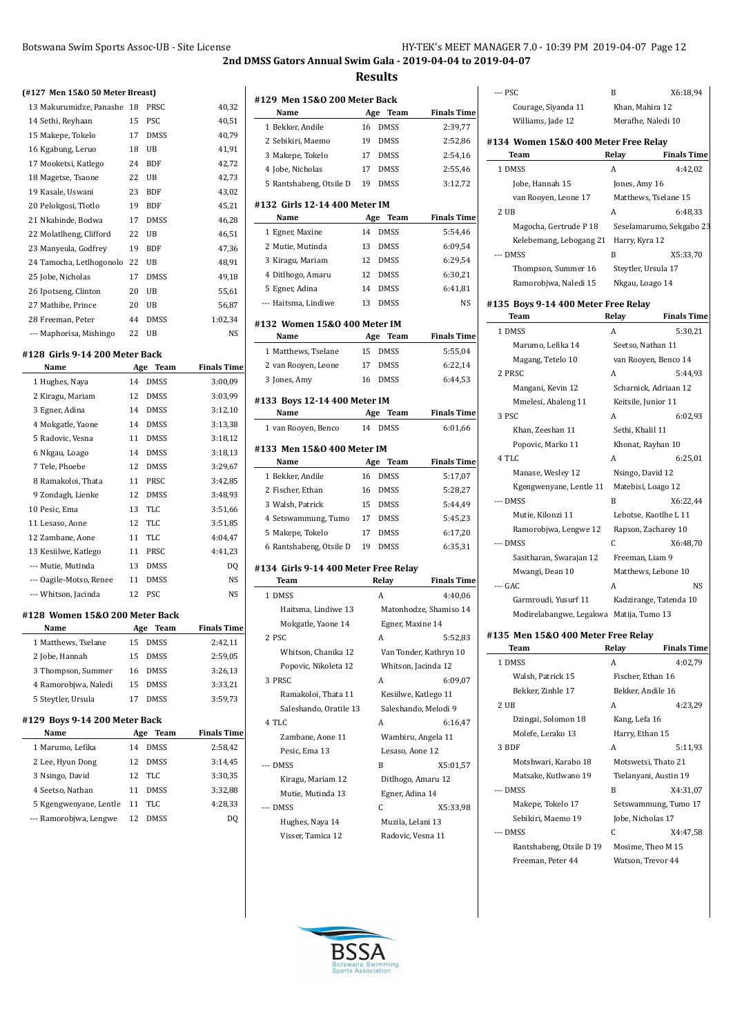**2nd DMSS Gators Annual Swim Gala - 2019-04-04 to 2019-04-07**

**Results**

| (#127 Men 15&0 50 Meter Breast)        |     |             |                    | #129 Men   |
|----------------------------------------|-----|-------------|--------------------|------------|
| 13 Makurumidze, Panashe 18             |     | PRSC        | 40,32              | Name       |
| 14 Sethi, Reyhaan                      | 15  | PSC         | 40,51              | 1 Bekker,  |
| 15 Makepe, Tokelo                      | 17  | <b>DMSS</b> | 40,79              | 2 Sebikiri |
| 16 Kgabung, Leruo                      | 18  | UB          | 41,91              | 3 Makepe   |
| 17 Mooketsi, Katlego                   | 24  | <b>BDF</b>  | 42,72              | 4 Jobe, Ni |
| 18 Magetse, Tsaone                     | 22  | UB          | 42,73              | 5 Rantsha  |
| 19 Kasale, Uswani                      | 23  | <b>BDF</b>  | 43,02              |            |
| 20 Pelokgosi, Tlotlo                   | 19  | <b>BDF</b>  | 45,21              | #132 Girls |
| 21 Nkabinde, Bodwa                     | 17  | <b>DMSS</b> | 46,28              | Name       |
| 22 Molatlheng, Clifford                | 22  | UB          | 46,51              | 1 Egner, I |
| 23 Manyeula, Godfrey                   | 19  | <b>BDF</b>  | 47,36              | 2 Mutie, I |
| 24 Tamocha, Letlhogonolo 22            |     | UB          | 48,91              | 3 Kiragu,  |
| 25 Jobe, Nicholas                      | 17  | <b>DMSS</b> | 49,18              | 4 Ditlhog  |
| 26 Ipotseng, Clinton                   | 20  | UB          | 55,61              | 5 Egner, / |
| 27 Mathibe, Prince                     | 20  | UB          | 56,87              | --- Haitsm |
| 28 Freeman, Peter                      | 44  | <b>DMSS</b> | 1:02,34            | #132 Won   |
| --- Maphorisa, Mishingo                | 22  | UB          | NS                 | Name       |
|                                        |     |             |                    | 1 Matthe   |
| #128 Girls 9-14 200 Meter Back<br>Name | Age | Team        | <b>Finals Time</b> | 2 van Roo  |
| 1 Hughes, Naya                         | 14  | <b>DMSS</b> | 3:00,09            | 3 Jones, A |
|                                        | 12  | DMSS        |                    |            |
| 2 Kiragu, Mariam                       | 14  | DMSS        | 3:03,99<br>3:12,10 | #133 Boys  |
| 3 Egner, Adina                         |     |             |                    | Name       |
| 4 Mokgatle, Yaone                      | 14  | <b>DMSS</b> | 3:13,38            | 1 van Roo  |
| 5 Radovic, Vesna                       | 11  | <b>DMSS</b> | 3:18,12            | #133 Men   |
| 6 Nkgau, Loago                         | 14  | DMSS        | 3:18,13            | Name       |
| 7 Tele, Phoebe                         | 12  | <b>DMSS</b> | 3:29,67            | 1 Bekker,  |
| 8 Ramakoloi, Thata                     | 11  | PRSC        | 3:42,85            | 2 Fischer  |
| 9 Zondagh, Lienke                      | 12  | DMSS        | 3:48,93            | 3 Walsh,   |
| 10 Pesic, Ema                          | 13  | TLC         | 3:51,66            | 4 Setswa   |
| 11 Lesaso, Aone                        | 12  | TLC         | 3:51,85            | 5 Makepe   |
| 12 Zambane, Aone                       | 11  | TLC         | 4:04,47            | 6 Rantsha  |
| 13 Kesiilwe, Katlego                   | 11  | PRSC        | 4:41,23            |            |
| --- Mutie, Mutinda                     | 13  | <b>DMSS</b> | DQ                 | #134 Girls |
| --- Oagile-Motso, Renee                | 11  | <b>DMSS</b> | NS                 | Team       |
| --- Whitson, Jacinda                   | 12  | PSC         | NS                 | 1 DMSS     |
| #128 Women 15&0 200 Meter Back         |     |             |                    | Haits      |
| Name                                   | Age | Team        | <b>Finals Time</b> | Mokg       |
| 1 Matthews, Tselane                    | 15  | DMSS        | 2:42,11            | 2 PSC      |
| 2 Jobe, Hannah                         | 15  | <b>DMSS</b> | 2:59,05            | Whit:      |
| 3 Thompson, Summer                     | 16  | <b>DMSS</b> | 3:26,13            | Popo       |
| 4 Ramorobjwa, Naledi                   | 15  | DMSS        | 3:33,21            | 3 PRSC     |
| 5 Steytler, Ursula                     | 17  | DMSS        | 3:59,73            | Rama       |
|                                        |     |             |                    | Sales      |
| #129 Boys 9-14 200 Meter Back          |     |             | <b>Finals Time</b> | 4 TLC      |
| Name                                   | Age | Team        |                    | Zamb       |
| 1 Marumo, Lefika                       | 14  | DMSS        | 2:58,42            | Pesic      |
| 2 Lee, Hyun Dong                       | 12  | DMSS        | 3:14,45            | --- DMSS   |
| 3 Nsingo, David                        | 12  | TLC         | 3:30,35            | Kirag      |
| 4 Seetso, Nathan                       | 11  | DMSS        | 3:32,88            | Mutie      |
| 5 Kgengwenyane, Lentle                 | 11  | TLC         | 4:28,33            | --- DMSS   |
| --- Ramorobjwa, Lengwe                 | 12  | <b>DMSS</b> | DQ                 | Hugh       |

| #129 Men 15&0 200 Meter Back                  |     |                    |                        |
|-----------------------------------------------|-----|--------------------|------------------------|
| Name                                          | Age | Team               | <b>Finals Time</b>     |
| 1 Bekker, Andile                              | 16  | <b>DMSS</b>        | 2:39,77                |
| 2 Sebikiri, Maemo                             | 19  | <b>DMSS</b>        | 2:52,86                |
| 3 Makepe, Tokelo                              | 17  | <b>DMSS</b>        | 2:54,16                |
| 4 Jobe, Nicholas                              | 17  | <b>DMSS</b>        | 2:55,46                |
| 5 Rantshabeng, Otsile D                       | 19  | <b>DMSS</b>        | 3:12,72                |
| #132 Girls 12-14 400 Meter IM<br>Name         | Age | Team               | <b>Finals Time</b>     |
| 1 Egner, Maxine                               | 14  | <b>DMSS</b>        | 5:54,46                |
| 2 Mutie, Mutinda                              | 13  | <b>DMSS</b>        | 6:09,54                |
| 3 Kiragu, Mariam                              | 12  | <b>DMSS</b>        | 6:29,54                |
| 4 Ditlhogo, Amaru                             | 12  | <b>DMSS</b>        | 6:30,21                |
| 5 Egner, Adina                                | 14  | <b>DMSS</b>        | 6:41,81                |
| --- Haitsma, Lindiwe                          | 13  | <b>DMSS</b>        | NS                     |
| #132 Women 15&0 400 Meter IM                  |     |                    |                        |
| Name                                          | Age | Team               | <b>Finals Time</b>     |
| 1 Matthews, Tselane                           | 15  | <b>DMSS</b>        | 5:55,04                |
| 2 van Rooyen, Leone                           | 17  | <b>DMSS</b>        | 6:22,14                |
| 3 Jones, Amy                                  | 16  | <b>DMSS</b>        | 6:44,53                |
| #133 Boys 12-14 400 Meter IM                  |     |                    |                        |
| Name                                          | Age | Team               | <b>Finals Time</b>     |
| 1 van Rooven, Benco                           | 14  | <b>DMSS</b>        | 6:01,66                |
| #133 Men 15&0 400 Meter IM                    |     |                    |                        |
| Name                                          | Age | Team               | <b>Finals Time</b>     |
| 1 Bekker, Andile                              | 16  | <b>DMSS</b>        | 5:17,07                |
| 2 Fischer, Ethan                              | 16  | <b>DMSS</b>        | 5:28,27                |
| 3 Walsh, Patrick                              | 15  | <b>DMSS</b>        | 5:44,49                |
| 4 Setswammung, Tumo                           | 17  | <b>DMSS</b>        | 5:45,23                |
| 5 Makepe, Tokelo                              | 17  | <b>DMSS</b>        | 6:17,20                |
| 6 Rantshabeng, Otsile D                       | 19  | <b>DMSS</b>        | 6:35,31                |
| #134  Girls 9-14 400 Meter Free Relay<br>Team |     | Relay              | <b>Finals Time</b>     |
| 1 DMSS                                        |     | A                  | 4:40,06                |
| Haitsma, Lindiwe 13                           |     |                    | Matonhodze, Shamiso 14 |
| Mokgatle, Yaone 14                            |     | Egner, Maxine 14   |                        |
| 2 PSC                                         |     | A                  | 5:52,83                |
| Whitson, Chanika 12                           |     |                    | Van Tonder, Kathryn 10 |
| Popovic, Nikoleta 12                          |     |                    | Whitson, Jacinda 12    |
| 3 PRSC                                        |     | A                  | 6:09,07                |
| Ramakoloi, Thata 11                           |     |                    | Kesiilwe, Katlego 11   |
| Saleshando, Oratile 13                        |     |                    | Saleshando, Melodi 9   |
| 4 TLC                                         |     | A                  | 6:16,47                |
| Zambane, Aone 11                              |     |                    | Wambiru, Angela 11     |
| Pesic, Ema 13                                 |     | Lesaso, Aone 12    |                        |
| --- DMSS                                      |     | B                  | X5:01,57               |
| Kiragu, Mariam 12                             |     | Ditlhogo, Amaru 12 |                        |
| Mutie, Mutinda 13                             |     | Egner, Adina 14    |                        |
| --- DMSS                                      |     | C                  | X5:33,98               |
| Hughes, Naya 14                               |     | Muzila, Lelani 13  |                        |
| Visser, Tamica 12                             |     | Radovic, Vesna 11  |                        |

| --- PSC                                 | B                      | X6:18,94                 |
|-----------------------------------------|------------------------|--------------------------|
| Courage, Siyanda 11                     | Khan, Mahira 12        |                          |
| Williams, Jade 12                       | Merafhe, Naledi 10     |                          |
| #134 Women 15&0 400 Meter Free Relay    |                        |                          |
| Team                                    | Relay                  | <b>Finals Time</b>       |
| 1 DMSS                                  | A                      | 4:42,02                  |
| Jobe, Hannah 15                         | Jones, Amy 16          |                          |
| van Rooyen, Leone 17                    | Matthews, Tselane 15   |                          |
| 2UB                                     | A                      | 6:48.33                  |
| Magocha, Gertrude P 18                  |                        | Seselamarumo, Sekgabo 23 |
| Kelebemang, Lebogang 21 Harry, Kyra 12  |                        |                          |
| --- DMSS                                | B                      | X5:33,70                 |
| Thompson, Summer 16                     | Steytler, Ursula 17    |                          |
| Ramorobjwa, Naledi 15                   | Nkgau, Loago 14        |                          |
| #135 Boys 9-14 400 Meter Free Relay     |                        |                          |
| Team                                    | Relay                  | <b>Finals Time</b>       |
| 1 DMSS                                  | A                      | 5:30,21                  |
| Marumo, Lefika 14                       | Seetso, Nathan 11      |                          |
| Magang, Tetelo 10                       | van Rooyen, Benco 14   |                          |
| 2 PRSC                                  | A                      | 5:44,93                  |
| Mangani, Kevin 12                       | Scharnick, Adriaan 12  |                          |
| Mmelesi, Abaleng 11                     | Keitsile, Junior 11    |                          |
| 3 PSC                                   | A                      | 6:02.93                  |
| Khan, Zeeshan 11                        | Sethi, Khalil 11       |                          |
| Popovic, Marko 11                       | Khonat, Rayhan 10      |                          |
| 4 TLC                                   | A                      | 6:25,01                  |
| Manase, Wesley 12                       | Nsingo, David 12       |                          |
| Kgengwenyane, Lentle 11                 | Matebisi, Loago 12     |                          |
| $-$ DMSS                                | B                      | X6:22,44                 |
| Mutie, Kilonzi 11                       | Lebotse, Kaotlhe L 11  |                          |
| Ramorobjwa, Lengwe 12                   | Rapson, Zacharey 10    |                          |
| --- DMSS                                | C                      | X6:48,70                 |
| Sasitharan, Swarajan 12                 | Freeman, Liam 9        |                          |
| Mwangi, Dean 10                         | Matthews, Lebone 10    |                          |
| --- GAC                                 | А                      | NS.                      |
| Garmroudi, Yusurf 11                    | Kadzirange, Tatenda 10 |                          |
| Modirelabangwe, Legakwa Matija, Tumo 13 |                        |                          |
|                                         |                        |                          |

## **#135 Men 15&O 400 Meter Free Relay**

| Team                     | Relay             | <b>Finals Time</b>    |
|--------------------------|-------------------|-----------------------|
| 1 DMSS                   | A                 | 4:02.79               |
| Walsh, Patrick 15        | Fischer, Ethan 16 |                       |
| Bekker, Zinhle 17        |                   | Bekker, Andile 16     |
| 2 UB                     | A                 | 4:23.29               |
| Dzingai, Solomon 18      | Kang, Lefa 16     |                       |
| Molefe, Lerako 13        | Harry, Ethan 15   |                       |
| 3 BDF                    | A                 | 5:11,93               |
| Motshwari, Karabo 18     |                   | Motswetsi, Thato 21   |
| Matsake, Kutlwano 19     |                   | Tselanyani, Austin 19 |
| --- DMSS                 | R                 | X4:31,07              |
| Makepe, Tokelo 17        |                   | Setswammung, Tumo 17  |
| Sebikiri, Maemo 19       | Jobe, Nicholas 17 |                       |
| $-$ DMSS                 | C                 | X4:47,58              |
| Rantshabeng, Otsile D 19 |                   | Mosime, Theo M 15     |
| Freeman, Peter 44        |                   | Watson, Trevor 44     |
|                          |                   |                       |